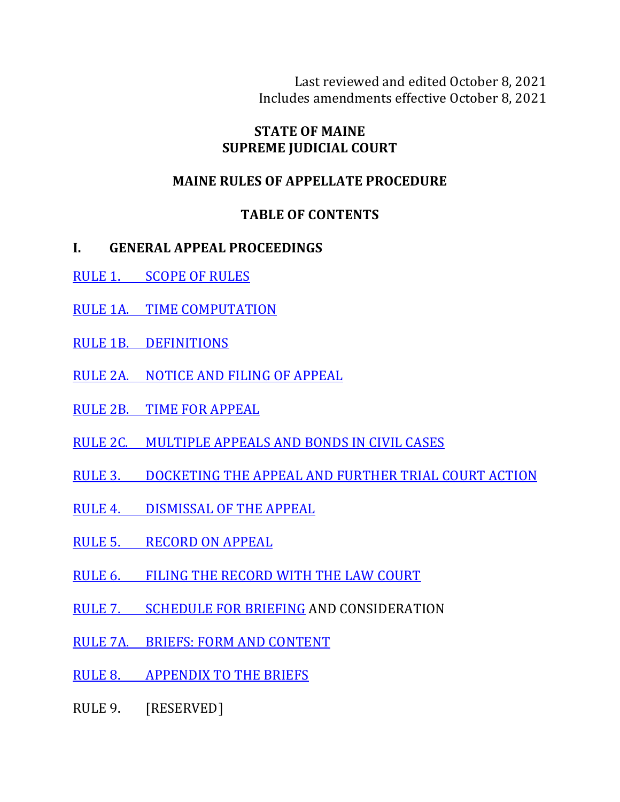Last reviewed and edited October 8, 2021 Includes amendments effective October 8, 2021

#### **STATE OF MAINE SUPREME JUDICIAL COURT**

#### **MAINE RULES OF APPELLATE PROCEDURE**

#### **TABLE OF CONTENTS**

- **I. GENERAL APPEAL PROCEEDINGS**
- RULE 1. SCOPE OF RULES
- RULE 1A. TIME COMPUTATION
- RULE 1B. DEFINITIONS
- RULE 2A. NOTICE AND FILING OF APPEAL
- RULE 2B. TIME FOR APPEAL
- RULE 2C. MULTIPLE APPEALS AND BONDS IN CIVIL CASES
- RULE 3. DOCKETING THE APPEAL AND FURTHER TRIAL COURT ACTION
- RULE 4. DISMISSAL OF THE APPEAL
- RULE 5. RECORD ON APPEAL
- RULE 6. FILING THE RECORD WITH THE LAW COURT
- RULE 7. SCHEDULE FOR BRIEFING AND CONSIDERATION
- RULE 7A. BRIEFS: FORM AND CONTENT
- RULE 8. APPENDIX TO THE BRIEFS
- RULE 9. [RESERVED]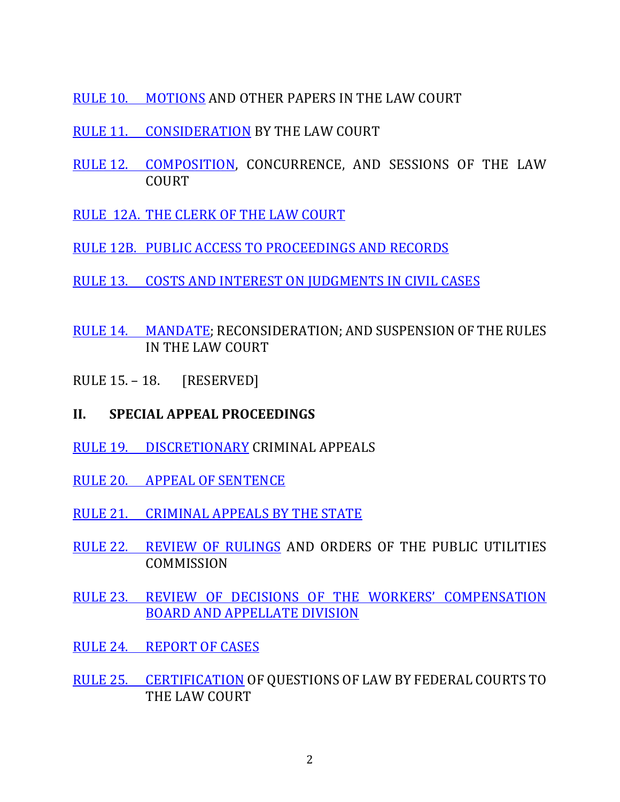- RULE 10. MOTIONS AND OTHER PAPERS IN THE LAW COURT
- RULE 11. CONSIDERATION BY THE LAW COURT
- RULE 12. COMPOSITION, CONCURRENCE, AND SESSIONS OF THE LAW COURT
- RULE 12A. THE CLERK OF THE LAW COURT
- RULE 12B. PUBLIC ACCESS TO PROCEEDINGS AND RECORDS
- RULE 13. COSTS AND INTEREST ON JUDGMENTS IN CIVIL CASES
- RULE 14. MANDATE; RECONSIDERATION; AND SUSPENSION OF THE RULES IN THE LAW COURT
- RULE 15. 18. [RESERVED]

#### **II. SPECIAL APPEAL PROCEEDINGS**

- RULE 19. DISCRETIONARY CRIMINAL APPEALS
- RULE 20. APPEAL OF SENTENCE
- RULE 21. CRIMINAL APPEALS BY THE STATE
- RULE 22. REVIEW OF RULINGS AND ORDERS OF THE PUBLIC UTILITIES **COMMISSION**
- RULE 23. REVIEW OF DECISIONS OF THE WORKERS' COMPENSATION BOARD AND APPELLATE DIVISION
- RULE 24. REPORT OF CASES
- RULE 25. CERTIFICATION OF OUESTIONS OF LAW BY FEDERAL COURTS TO THE LAW COURT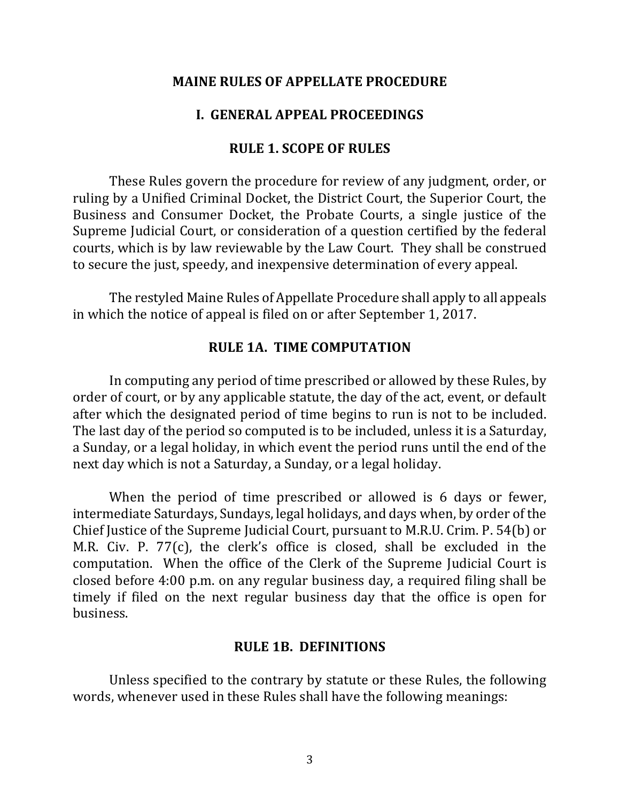#### **MAINE RULES OF APPELLATE PROCEDURE**

#### **I. GENERAL APPEAL PROCEEDINGS**

#### **RULE 1. SCOPE OF RULES**

These Rules govern the procedure for review of any judgment, order, or ruling by a Unified Criminal Docket, the District Court, the Superior Court, the Business and Consumer Docket, the Probate Courts, a single justice of the Supreme Judicial Court, or consideration of a question certified by the federal courts, which is by law reviewable by the Law Court. They shall be construed to secure the just, speedy, and inexpensive determination of every appeal.

The restyled Maine Rules of Appellate Procedure shall apply to all appeals in which the notice of appeal is filed on or after September 1, 2017.

#### **RULE 1A. TIME COMPUTATION**

In computing any period of time prescribed or allowed by these Rules, by order of court, or by any applicable statute, the day of the act, event, or default after which the designated period of time begins to run is not to be included. The last day of the period so computed is to be included, unless it is a Saturday, a Sunday, or a legal holiday, in which event the period runs until the end of the next day which is not a Saturday, a Sunday, or a legal holiday.

When the period of time prescribed or allowed is 6 days or fewer, intermediate Saturdays, Sundays, legal holidays, and days when, by order of the Chief Justice of the Supreme Judicial Court, pursuant to M.R.U. Crim. P. 54(b) or M.R. Civ. P. 77 $(c)$ , the clerk's office is closed, shall be excluded in the computation. When the office of the Clerk of the Supreme Judicial Court is closed before 4:00 p.m. on any regular business day, a required filing shall be timely if filed on the next regular business day that the office is open for business.

#### **RULE 1B. DEFINITIONS**

Unless specified to the contrary by statute or these Rules, the following words, whenever used in these Rules shall have the following meanings: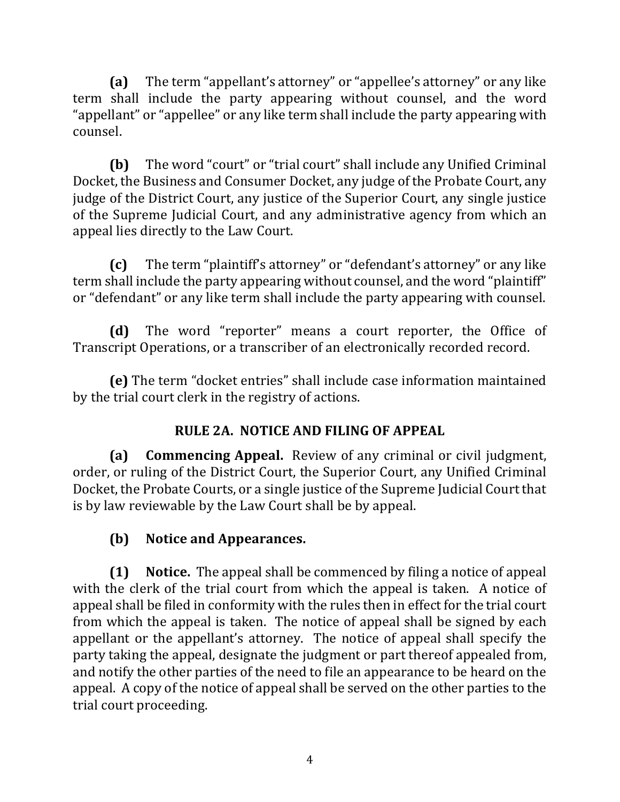**(a)** The term "appellant's attorney" or "appellee's attorney" or any like term shall include the party appearing without counsel, and the word "appellant" or "appellee" or any like term shall include the party appearing with counsel.

**(b)** The word "court" or "trial court" shall include any Unified Criminal Docket, the Business and Consumer Docket, any judge of the Probate Court, any judge of the District Court, any justice of the Superior Court, any single justice of the Supreme Judicial Court, and any administrative agency from which an appeal lies directly to the Law Court.

**(c)** The term "plaintiff's attorney" or "defendant's attorney" or any like term shall include the party appearing without counsel, and the word "plaintiff" or "defendant" or any like term shall include the party appearing with counsel.

**(d)** The word "reporter" means a court reporter, the Office of Transcript Operations, or a transcriber of an electronically recorded record.

**(e)** The term "docket entries" shall include case information maintained by the trial court clerk in the registry of actions.

## **RULE 2A. NOTICE AND FILING OF APPEAL**

**(a) Commencing Appeal.** Review of any criminal or civil judgment, order, or ruling of the District Court, the Superior Court, any Unified Criminal Docket, the Probate Courts, or a single justice of the Supreme Judicial Court that is by law reviewable by the Law Court shall be by appeal.

## **(b)** Notice and Appearances.

**(1)** Notice. The appeal shall be commenced by filing a notice of appeal with the clerk of the trial court from which the appeal is taken. A notice of appeal shall be filed in conformity with the rules then in effect for the trial court from which the appeal is taken. The notice of appeal shall be signed by each appellant or the appellant's attorney. The notice of appeal shall specify the party taking the appeal, designate the judgment or part thereof appealed from, and notify the other parties of the need to file an appearance to be heard on the appeal. A copy of the notice of appeal shall be served on the other parties to the trial court proceeding.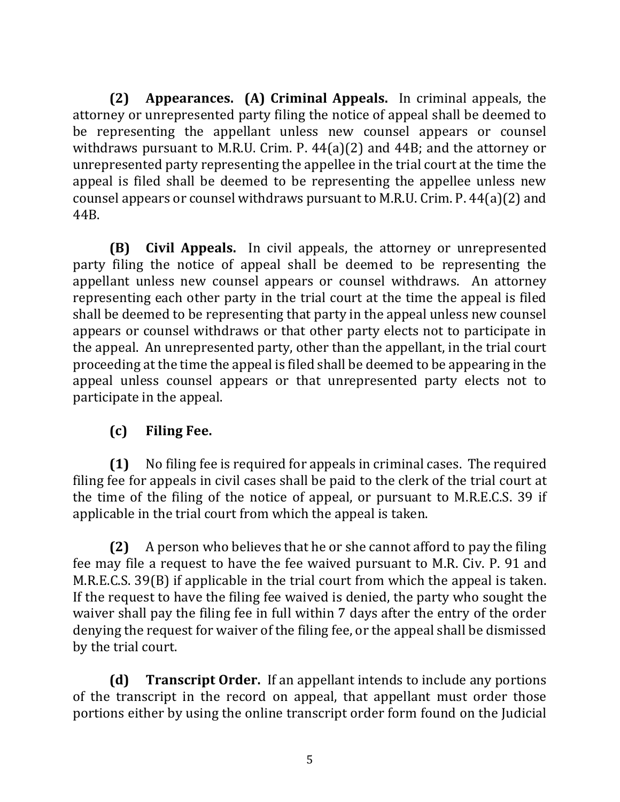**(2) Appearances. (A) Criminal Appeals.** In criminal appeals, the attorney or unrepresented party filing the notice of appeal shall be deemed to be representing the appellant unless new counsel appears or counsel withdraws pursuant to M.R.U. Crim. P.  $44(a)(2)$  and  $44B$ ; and the attorney or unrepresented party representing the appellee in the trial court at the time the appeal is filed shall be deemed to be representing the appellee unless new counsel appears or counsel withdraws pursuant to M.R.U. Crim. P.  $44(a)(2)$  and 44B.

**(B)** Civil Appeals. In civil appeals, the attorney or unrepresented party filing the notice of appeal shall be deemed to be representing the appellant unless new counsel appears or counsel withdraws. An attorney representing each other party in the trial court at the time the appeal is filed shall be deemed to be representing that party in the appeal unless new counsel appears or counsel withdraws or that other party elects not to participate in the appeal. An unrepresented party, other than the appellant, in the trial court proceeding at the time the appeal is filed shall be deemed to be appearing in the appeal unless counsel appears or that unrepresented party elects not to participate in the appeal.

## **(c) Filing Fee.**

**(1)** No filing fee is required for appeals in criminal cases. The required filing fee for appeals in civil cases shall be paid to the clerk of the trial court at the time of the filing of the notice of appeal, or pursuant to M.R.E.C.S. 39 if applicable in the trial court from which the appeal is taken.

**(2)** A person who believes that he or she cannot afford to pay the filing fee may file a request to have the fee waived pursuant to M.R. Civ. P. 91 and M.R.E.C.S.  $39(B)$  if applicable in the trial court from which the appeal is taken. If the request to have the filing fee waived is denied, the party who sought the waiver shall pay the filing fee in full within 7 days after the entry of the order denying the request for waiver of the filing fee, or the appeal shall be dismissed by the trial court.

**(d) Transcript Order.** If an appellant intends to include any portions of the transcript in the record on appeal, that appellant must order those portions either by using the online transcript order form found on the Judicial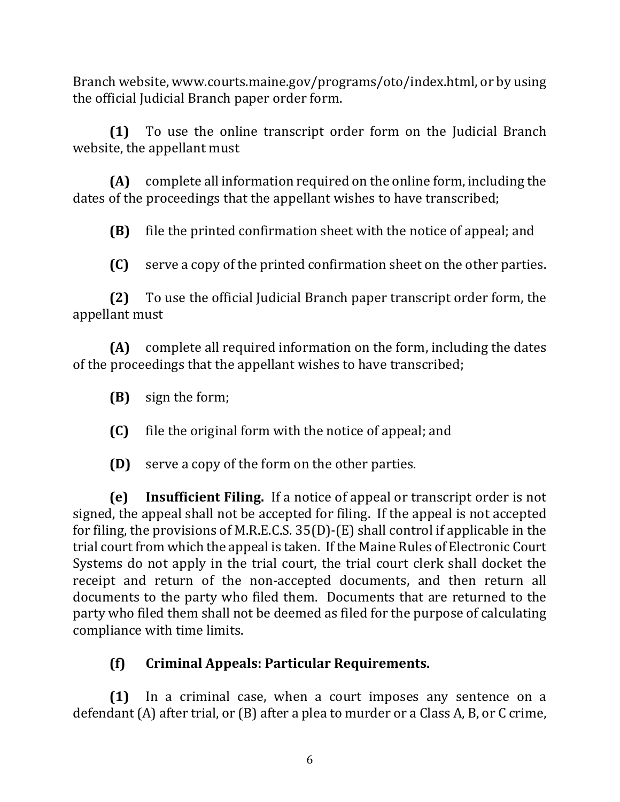Branch website, www.courts.maine.gov/programs/oto/index.html, or by using the official Judicial Branch paper order form.

**(1)** To use the online transcript order form on the Judicial Branch website, the appellant must

**(A)** complete all information required on the online form, including the dates of the proceedings that the appellant wishes to have transcribed;

**(B)** file the printed confirmation sheet with the notice of appeal; and

**(C)** serve a copy of the printed confirmation sheet on the other parties.

**(2)** To use the official Judicial Branch paper transcript order form, the appellant must

**(A)** complete all required information on the form, including the dates of the proceedings that the appellant wishes to have transcribed;

**(B)** sign the form;

**(C)** file the original form with the notice of appeal; and

**(D)** serve a copy of the form on the other parties.

**(e) Insufficient Filing.** If a notice of appeal or transcript order is not signed, the appeal shall not be accepted for filing. If the appeal is not accepted for filing, the provisions of M.R.E.C.S.  $35(D)$ -(E) shall control if applicable in the trial court from which the appeal is taken. If the Maine Rules of Electronic Court Systems do not apply in the trial court, the trial court clerk shall docket the receipt and return of the non-accepted documents, and then return all documents to the party who filed them. Documents that are returned to the party who filed them shall not be deemed as filed for the purpose of calculating compliance with time limits.

# **(f) Criminal Appeals: Particular Requirements.**

**(1)** In a criminal case, when a court imposes any sentence on a defendant  $(A)$  after trial, or  $(B)$  after a plea to murder or a Class A, B, or C crime,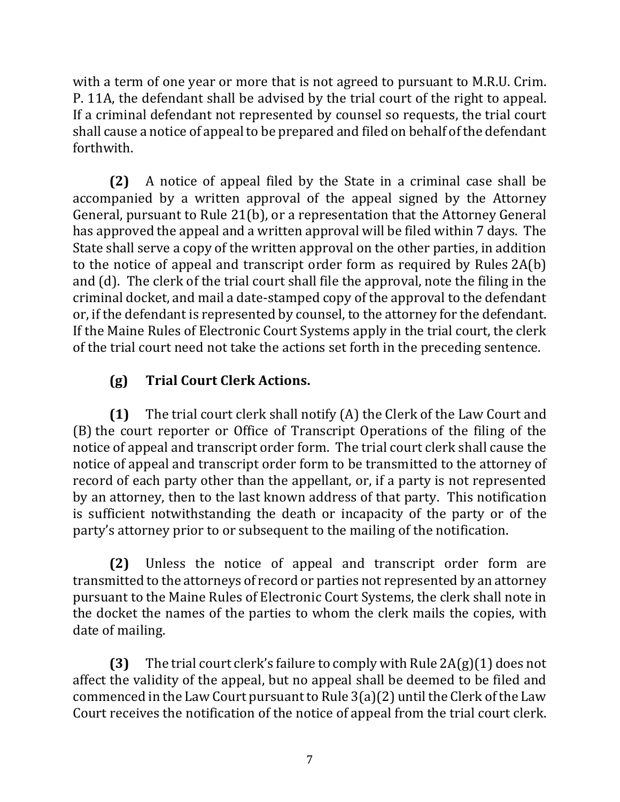with a term of one year or more that is not agreed to pursuant to M.R.U. Crim. P. 11A, the defendant shall be advised by the trial court of the right to appeal. If a criminal defendant not represented by counsel so requests, the trial court shall cause a notice of appeal to be prepared and filed on behalf of the defendant forthwith.

**(2)** A notice of appeal filed by the State in a criminal case shall be accompanied by a written approval of the appeal signed by the Attorney General, pursuant to Rule 21(b), or a representation that the Attorney General has approved the appeal and a written approval will be filed within 7 days. The State shall serve a copy of the written approval on the other parties, in addition to the notice of appeal and transcript order form as required by Rules  $2A(b)$ and  $(d)$ . The clerk of the trial court shall file the approval, note the filing in the criminal docket, and mail a date-stamped copy of the approval to the defendant or, if the defendant is represented by counsel, to the attorney for the defendant. If the Maine Rules of Electronic Court Systems apply in the trial court, the clerk of the trial court need not take the actions set forth in the preceding sentence.

# **(g) Trial Court Clerk Actions.**

**(1)** The trial court clerk shall notify (A) the Clerk of the Law Court and (B) the court reporter or Office of Transcript Operations of the filing of the notice of appeal and transcript order form. The trial court clerk shall cause the notice of appeal and transcript order form to be transmitted to the attorney of record of each party other than the appellant, or, if a party is not represented by an attorney, then to the last known address of that party. This notification is sufficient notwithstanding the death or incapacity of the party or of the party's attorney prior to or subsequent to the mailing of the notification.

**(2)** Unless the notice of appeal and transcript order form are transmitted to the attorneys of record or parties not represented by an attorney pursuant to the Maine Rules of Electronic Court Systems, the clerk shall note in the docket the names of the parties to whom the clerk mails the copies, with date of mailing.

**(3)** The trial court clerk's failure to comply with Rule  $2A(g)(1)$  does not affect the validity of the appeal, but no appeal shall be deemed to be filed and commenced in the Law Court pursuant to Rule  $3(a)(2)$  until the Clerk of the Law Court receives the notification of the notice of appeal from the trial court clerk.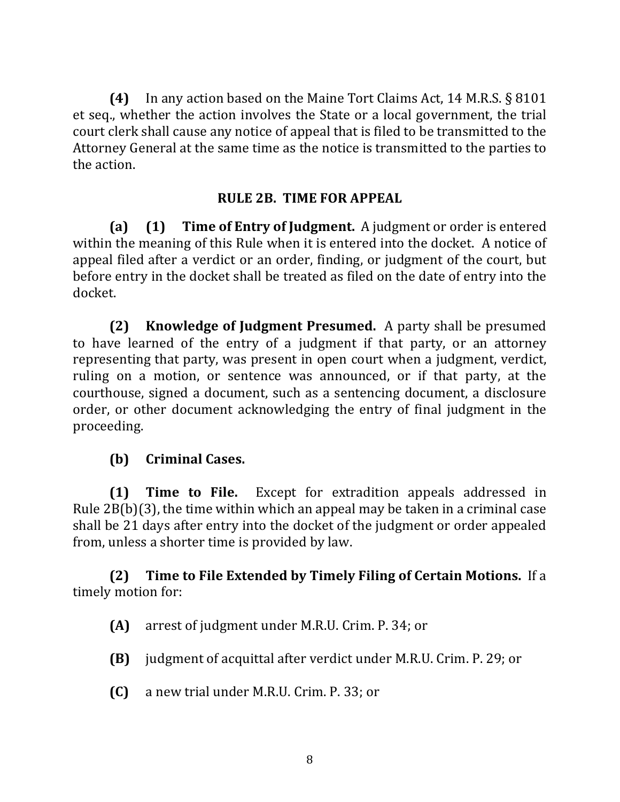**(4)** In any action based on the Maine Tort Claims Act, 14 M.R.S. § 8101 et seq., whether the action involves the State or a local government, the trial court clerk shall cause any notice of appeal that is filed to be transmitted to the Attorney General at the same time as the notice is transmitted to the parties to the action.

#### **RULE 2B. TIME FOR APPEAL**

**(a) (1) Time of Entry of Judgment.** A judgment or order is entered within the meaning of this Rule when it is entered into the docket. A notice of appeal filed after a verdict or an order, finding, or judgment of the court, but before entry in the docket shall be treated as filed on the date of entry into the docket.

**(2)** Knowledge of Judgment Presumed. A party shall be presumed to have learned of the entry of a judgment if that party, or an attorney representing that party, was present in open court when a judgment, verdict, ruling on a motion, or sentence was announced, or if that party, at the courthouse, signed a document, such as a sentencing document, a disclosure order, or other document acknowledging the entry of final judgment in the proceeding.

#### **(b) Criminal Cases.**

**(1) Time to File.** Except for extradition appeals addressed in Rule  $2B(b)(3)$ , the time within which an appeal may be taken in a criminal case shall be 21 days after entry into the docket of the judgment or order appealed from, unless a shorter time is provided by law.

### **(2)** Time to File Extended by Timely Filing of Certain Motions. If a timely motion for:

- **(A)** arrest of judgment under M.R.U. Crim. P. 34; or
- **(B)** judgment of acquittal after verdict under M.R.U. Crim. P. 29; or
- **(C)** a new trial under M.R.U. Crim. P. 33; or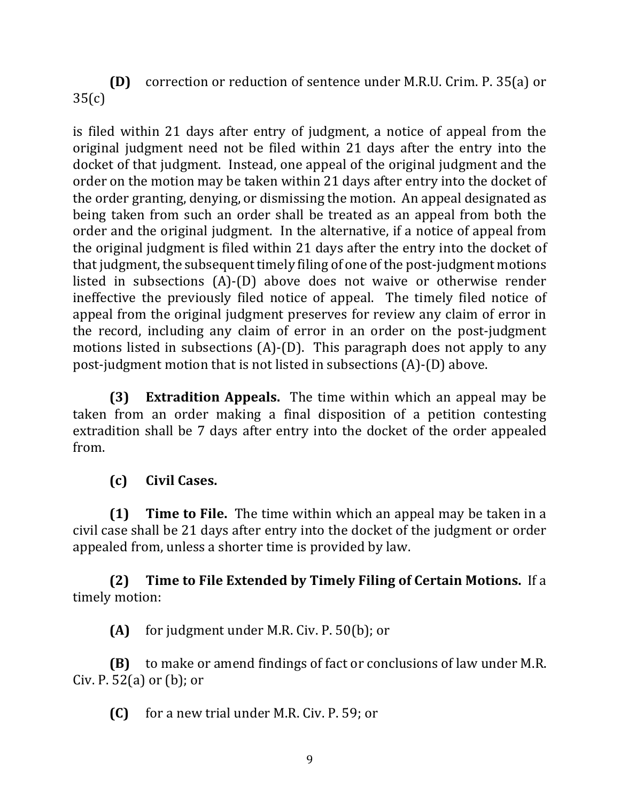**(D)** correction or reduction of sentence under M.R.U. Crim. P. 35(a) or 35(c)

is filed within 21 days after entry of judgment, a notice of appeal from the original judgment need not be filed within 21 days after the entry into the docket of that judgment. Instead, one appeal of the original judgment and the order on the motion may be taken within 21 days after entry into the docket of the order granting, denying, or dismissing the motion. An appeal designated as being taken from such an order shall be treated as an appeal from both the order and the original judgment. In the alternative, if a notice of appeal from the original judgment is filed within 21 days after the entry into the docket of that judgment, the subsequent timely filing of one of the post-judgment motions listed in subsections  $(A)$ - $(D)$  above does not waive or otherwise render ineffective the previously filed notice of appeal. The timely filed notice of appeal from the original judgment preserves for review any claim of error in the record, including any claim of error in an order on the post-judgment motions listed in subsections  $(A)$ - $(D)$ . This paragraph does not apply to any post-judgment motion that is not listed in subsections  $(A)$ - $(D)$  above.

**(3) Extradition Appeals.** The time within which an appeal may be taken from an order making a final disposition of a petition contesting extradition shall be 7 days after entry into the docket of the order appealed from.

## **(c) Civil Cases.**

**(1) Time to File.** The time within which an appeal may be taken in a civil case shall be 21 days after entry into the docket of the judgment or order appealed from, unless a shorter time is provided by law.

**(2)** Time to File Extended by Timely Filing of Certain Motions. If a timely motion:

**(A)** for judgment under M.R. Civ. P. 50(b); or

**(B)** to make or amend findings of fact or conclusions of law under M.R. Civ. P.  $52(a)$  or  $(b)$ ; or

**(C)** for a new trial under M.R. Civ. P. 59; or

9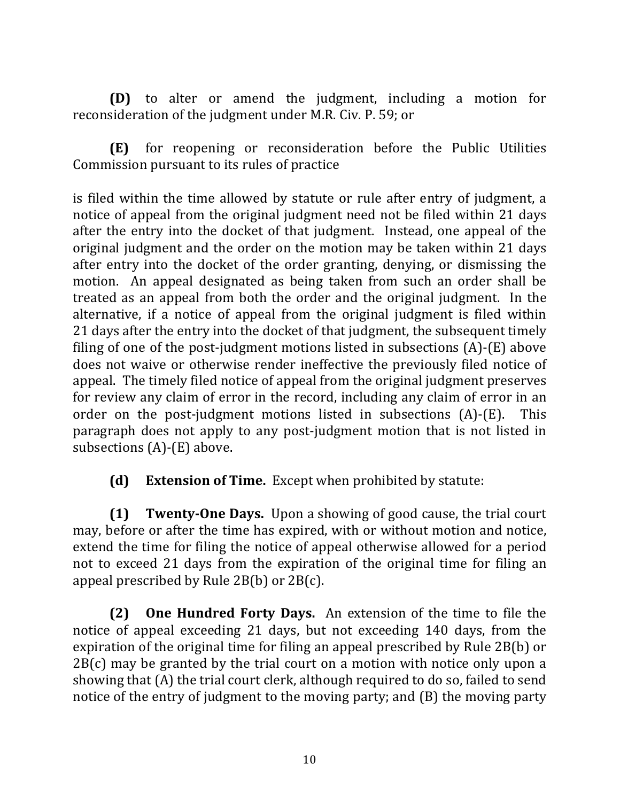**(D)** to alter or amend the judgment, including a motion for reconsideration of the judgment under M.R. Civ. P. 59; or

**(E)** for reopening or reconsideration before the Public Utilities Commission pursuant to its rules of practice

is filed within the time allowed by statute or rule after entry of judgment, a notice of appeal from the original judgment need not be filed within 21 days after the entry into the docket of that judgment. Instead, one appeal of the original judgment and the order on the motion may be taken within 21 days after entry into the docket of the order granting, denying, or dismissing the motion. An appeal designated as being taken from such an order shall be treated as an appeal from both the order and the original judgment. In the alternative, if a notice of appeal from the original judgment is filed within 21 days after the entry into the docket of that judgment, the subsequent timely filing of one of the post-judgment motions listed in subsections  $(A)$ - $(E)$  above does not waive or otherwise render ineffective the previously filed notice of appeal. The timely filed notice of appeal from the original judgment preserves for review any claim of error in the record, including any claim of error in an order on the post-judgment motions listed in subsections  $(A)$ - $(E)$ . This paragraph does not apply to any post-judgment motion that is not listed in subsections  $(A)$ - $(E)$  above.

**(d)** Extension of Time. Except when prohibited by statute:

**(1) Twenty-One Days.** Upon a showing of good cause, the trial court may, before or after the time has expired, with or without motion and notice, extend the time for filing the notice of appeal otherwise allowed for a period not to exceed 21 days from the expiration of the original time for filing an appeal prescribed by Rule  $2B(b)$  or  $2B(c)$ .

**(2)** One Hundred Forty Days. An extension of the time to file the notice of appeal exceeding 21 days, but not exceeding 140 days, from the expiration of the original time for filing an appeal prescribed by Rule 2B(b) or  $2B(c)$  may be granted by the trial court on a motion with notice only upon a showing that  $(A)$  the trial court clerk, although required to do so, failed to send notice of the entry of judgment to the moving party; and  $(B)$  the moving party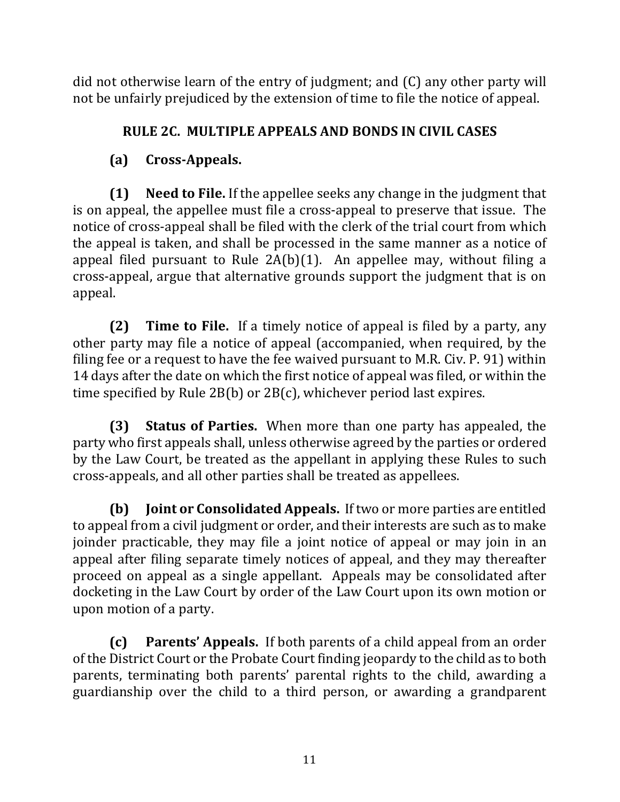did not otherwise learn of the entry of judgment; and  $(C)$  any other party will not be unfairly prejudiced by the extension of time to file the notice of appeal.

## **RULE 2C. MULTIPLE APPEALS AND BONDS IN CIVIL CASES**

# **(a) Cross-Appeals.**

**(1)** Need to File. If the appellee seeks any change in the judgment that is on appeal, the appellee must file a cross-appeal to preserve that issue. The notice of cross-appeal shall be filed with the clerk of the trial court from which the appeal is taken, and shall be processed in the same manner as a notice of appeal filed pursuant to Rule  $2A(b)(1)$ . An appellee may, without filing a cross-appeal, argue that alternative grounds support the judgment that is on appeal. 

**(2) Time to File.** If a timely notice of appeal is filed by a party, any other party may file a notice of appeal (accompanied, when required, by the filing fee or a request to have the fee waived pursuant to M.R. Civ. P. 91) within 14 days after the date on which the first notice of appeal was filed, or within the time specified by Rule  $2B(b)$  or  $2B(c)$ , whichever period last expires.

**(3) Status of Parties.** When more than one party has appealed, the party who first appeals shall, unless otherwise agreed by the parties or ordered by the Law Court, be treated as the appellant in applying these Rules to such cross-appeals, and all other parties shall be treated as appellees.

**(b) Joint or Consolidated Appeals.** If two or more parties are entitled to appeal from a civil judgment or order, and their interests are such as to make joinder practicable, they may file a joint notice of appeal or may join in an appeal after filing separate timely notices of appeal, and they may thereafter proceed on appeal as a single appellant. Appeals may be consolidated after docketing in the Law Court by order of the Law Court upon its own motion or upon motion of a party.

**(c)** Parents' Appeals. If both parents of a child appeal from an order of the District Court or the Probate Court finding jeopardy to the child as to both parents, terminating both parents' parental rights to the child, awarding a guardianship over the child to a third person, or awarding a grandparent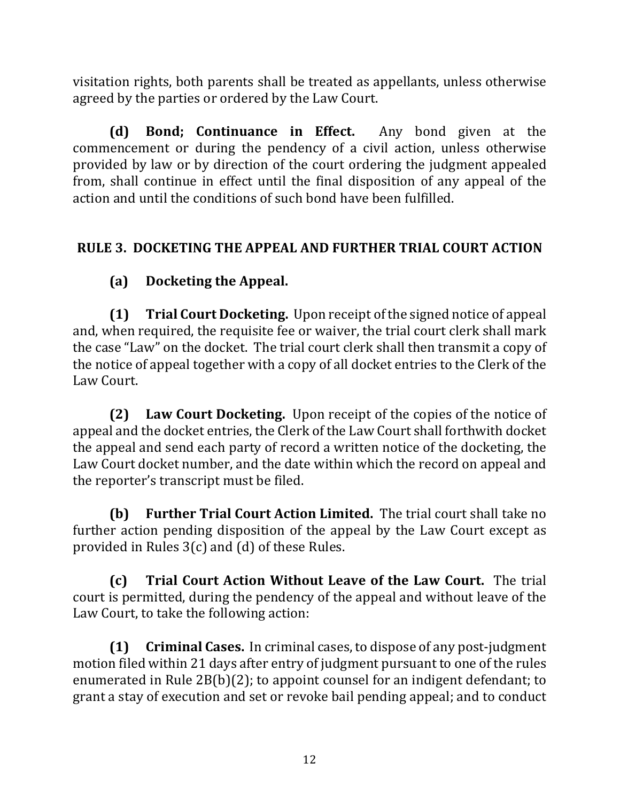visitation rights, both parents shall be treated as appellants, unless otherwise agreed by the parties or ordered by the Law Court.

**(d)** Bond; Continuance in Effect. Any bond given at the commencement or during the pendency of a civil action, unless otherwise provided by law or by direction of the court ordering the judgment appealed from, shall continue in effect until the final disposition of any appeal of the action and until the conditions of such bond have been fulfilled.

# **RULE 3. DOCKETING THE APPEAL AND FURTHER TRIAL COURT ACTION**

# **(a)** Docketing the Appeal.

**(1) Trial Court Docketing.** Upon receipt of the signed notice of appeal and, when required, the requisite fee or waiver, the trial court clerk shall mark the case "Law" on the docket. The trial court clerk shall then transmit a copy of the notice of appeal together with a copy of all docket entries to the Clerk of the Law Court. 

**(2)** Law Court Docketing. Upon receipt of the copies of the notice of appeal and the docket entries, the Clerk of the Law Court shall forthwith docket the appeal and send each party of record a written notice of the docketing, the Law Court docket number, and the date within which the record on appeal and the reporter's transcript must be filed.

**(b) Further Trial Court Action Limited.** The trial court shall take no further action pending disposition of the appeal by the Law Court except as provided in Rules  $3(c)$  and  $(d)$  of these Rules.

**(c) Trial Court Action Without Leave of the Law Court.** The trial court is permitted, during the pendency of the appeal and without leave of the Law Court, to take the following action:

**(1)** Criminal Cases. In criminal cases, to dispose of any post-judgment motion filed within 21 days after entry of judgment pursuant to one of the rules enumerated in Rule  $2B(b)(2)$ ; to appoint counsel for an indigent defendant; to grant a stay of execution and set or revoke bail pending appeal; and to conduct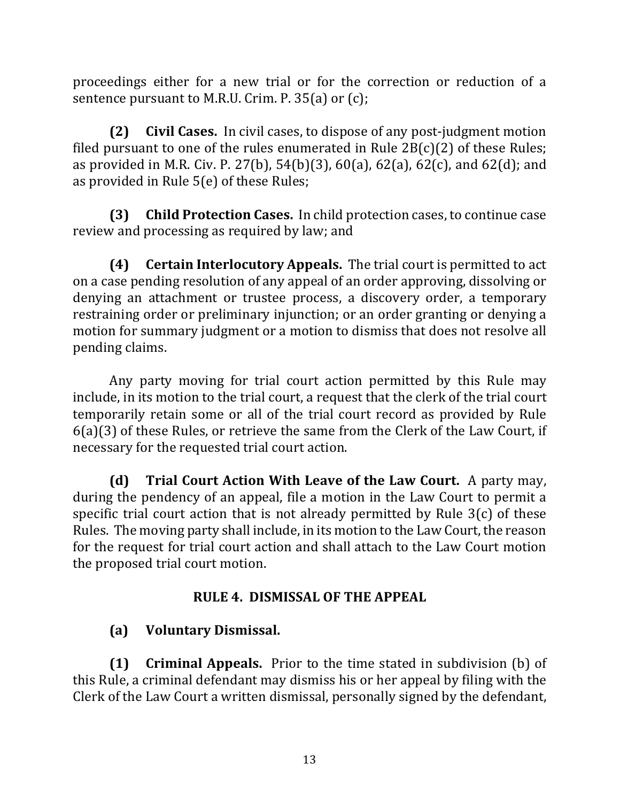proceedings either for a new trial or for the correction or reduction of a sentence pursuant to M.R.U. Crim. P.  $35(a)$  or (c);

**(2)** Civil Cases. In civil cases, to dispose of any post-judgment motion filed pursuant to one of the rules enumerated in Rule  $2B(c)(2)$  of these Rules; as provided in M.R. Civ. P. 27(b), 54(b)(3), 60(a), 62(a), 62(c), and 62(d); and as provided in Rule  $5(e)$  of these Rules;

**(3) Child Protection Cases.** In child protection cases, to continue case review and processing as required by law; and

**(4)** Certain Interlocutory Appeals. The trial court is permitted to act on a case pending resolution of any appeal of an order approving, dissolving or denying an attachment or trustee process, a discovery order, a temporary restraining order or preliminary injunction; or an order granting or denying a motion for summary judgment or a motion to dismiss that does not resolve all pending claims.

Any party moving for trial court action permitted by this Rule may include, in its motion to the trial court, a request that the clerk of the trial court temporarily retain some or all of the trial court record as provided by Rule  $6(a)(3)$  of these Rules, or retrieve the same from the Clerk of the Law Court, if necessary for the requested trial court action.

**(d) Trial Court Action With Leave of the Law Court.** A party may, during the pendency of an appeal, file a motion in the Law Court to permit a specific trial court action that is not already permitted by Rule  $3(c)$  of these Rules. The moving party shall include, in its motion to the Law Court, the reason for the request for trial court action and shall attach to the Law Court motion the proposed trial court motion.

## **RULE 4. DISMISSAL OF THE APPEAL**

# **(a) Voluntary Dismissal.**

**(1) Criminal Appeals.** Prior to the time stated in subdivision (b) of this Rule, a criminal defendant may dismiss his or her appeal by filing with the Clerk of the Law Court a written dismissal, personally signed by the defendant,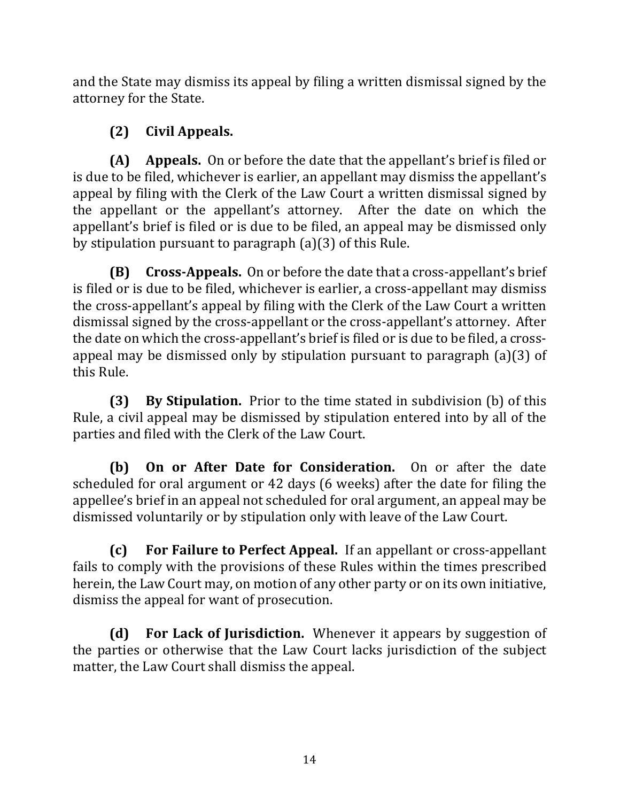and the State may dismiss its appeal by filing a written dismissal signed by the attorney for the State.

# **(2) Civil Appeals.**

**(A)** Appeals. On or before the date that the appellant's brief is filed or is due to be filed, whichever is earlier, an appellant may dismiss the appellant's appeal by filing with the Clerk of the Law Court a written dismissal signed by the appellant or the appellant's attorney. After the date on which the appellant's brief is filed or is due to be filed, an appeal may be dismissed only by stipulation pursuant to paragraph  $(a)(3)$  of this Rule.

**(B)** Cross-Appeals. On or before the date that a cross-appellant's brief is filed or is due to be filed, whichever is earlier, a cross-appellant may dismiss the cross-appellant's appeal by filing with the Clerk of the Law Court a written dismissal signed by the cross-appellant or the cross-appellant's attorney. After the date on which the cross-appellant's brief is filed or is due to be filed, a crossappeal may be dismissed only by stipulation pursuant to paragraph  $(a)(3)$  of this Rule.

**(3) By Stipulation.** Prior to the time stated in subdivision (b) of this Rule, a civil appeal may be dismissed by stipulation entered into by all of the parties and filed with the Clerk of the Law Court.

**(b)** On or After Date for Consideration. On or after the date scheduled for oral argument or 42 days (6 weeks) after the date for filing the appellee's brief in an appeal not scheduled for oral argument, an appeal may be dismissed voluntarily or by stipulation only with leave of the Law Court.

**(c)** For Failure to Perfect Appeal. If an appellant or cross-appellant fails to comply with the provisions of these Rules within the times prescribed herein, the Law Court may, on motion of any other party or on its own initiative, dismiss the appeal for want of prosecution.

**(d)** For Lack of Jurisdiction. Whenever it appears by suggestion of the parties or otherwise that the Law Court lacks jurisdiction of the subject matter, the Law Court shall dismiss the appeal.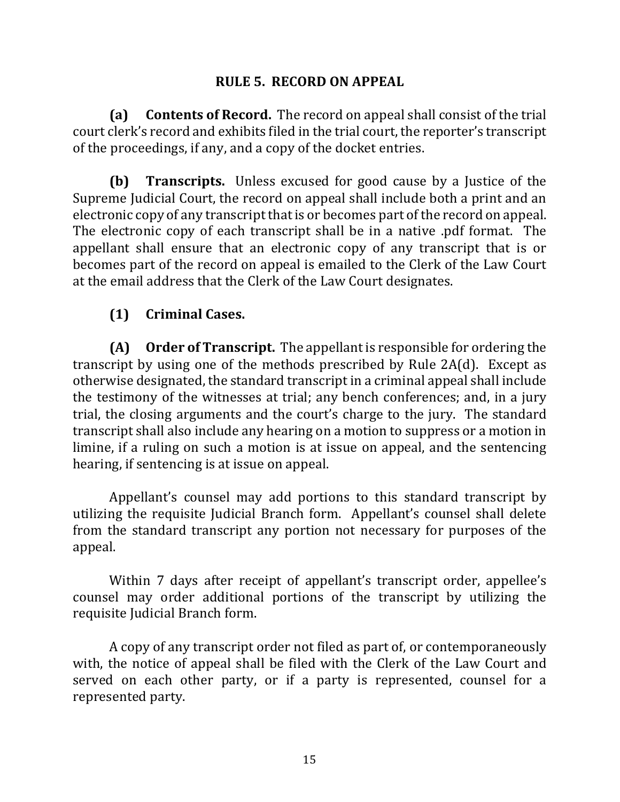#### **RULE 5. RECORD ON APPEAL**

**(a)** Contents of Record. The record on appeal shall consist of the trial court clerk's record and exhibits filed in the trial court, the reporter's transcript of the proceedings, if any, and a copy of the docket entries.

**(b) Transcripts.** Unless excused for good cause by a Justice of the Supreme Judicial Court, the record on appeal shall include both a print and an electronic copy of any transcript that is or becomes part of the record on appeal. The electronic copy of each transcript shall be in a native .pdf format. The appellant shall ensure that an electronic copy of any transcript that is or becomes part of the record on appeal is emailed to the Clerk of the Law Court at the email address that the Clerk of the Law Court designates.

### **(1) Criminal Cases.**

**(A)** Order of Transcript. The appellant is responsible for ordering the transcript by using one of the methods prescribed by Rule  $2A(d)$ . Except as otherwise designated, the standard transcript in a criminal appeal shall include the testimony of the witnesses at trial; any bench conferences; and, in a jury trial, the closing arguments and the court's charge to the jury. The standard transcript shall also include any hearing on a motion to suppress or a motion in limine, if a ruling on such a motion is at issue on appeal, and the sentencing hearing, if sentencing is at issue on appeal.

Appellant's counsel may add portions to this standard transcript by utilizing the requisite Judicial Branch form. Appellant's counsel shall delete from the standard transcript any portion not necessary for purposes of the appeal.

Within 7 days after receipt of appellant's transcript order, appellee's counsel may order additional portions of the transcript by utilizing the requisite Judicial Branch form.

A copy of any transcript order not filed as part of, or contemporaneously with, the notice of appeal shall be filed with the Clerk of the Law Court and served on each other party, or if a party is represented, counsel for a represented party.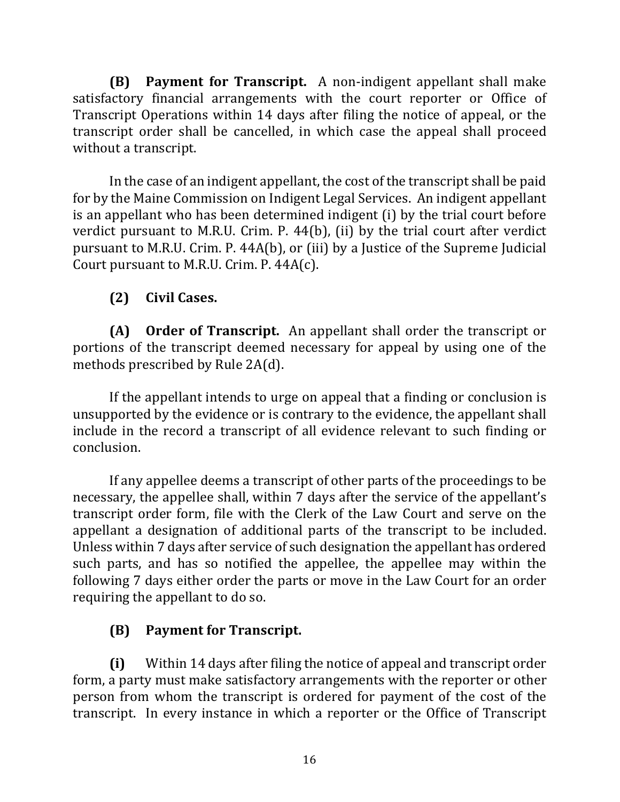**(B)** Payment for Transcript. A non-indigent appellant shall make satisfactory financial arrangements with the court reporter or Office of Transcript Operations within 14 days after filing the notice of appeal, or the transcript order shall be cancelled, in which case the appeal shall proceed without a transcript.

In the case of an indigent appellant, the cost of the transcript shall be paid for by the Maine Commission on Indigent Legal Services. An indigent appellant is an appellant who has been determined indigent (i) by the trial court before verdict pursuant to M.R.U. Crim. P.  $44(b)$ , (ii) by the trial court after verdict pursuant to M.R.U. Crim. P.  $44A(b)$ , or (iii) by a Justice of the Supreme Judicial Court pursuant to M.R.U. Crim. P.  $44A(c)$ .

# **(2) Civil Cases.**

**(A)** Order of Transcript. An appellant shall order the transcript or portions of the transcript deemed necessary for appeal by using one of the methods prescribed by Rule 2A(d).

If the appellant intends to urge on appeal that a finding or conclusion is unsupported by the evidence or is contrary to the evidence, the appellant shall include in the record a transcript of all evidence relevant to such finding or conclusion.

If any appellee deems a transcript of other parts of the proceedings to be necessary, the appellee shall, within 7 days after the service of the appellant's transcript order form, file with the Clerk of the Law Court and serve on the appellant a designation of additional parts of the transcript to be included. Unless within 7 days after service of such designation the appellant has ordered such parts, and has so notified the appellee, the appellee may within the following 7 days either order the parts or move in the Law Court for an order requiring the appellant to do so.

# **(B)** Payment for Transcript.

**(i)** Within 14 days after filing the notice of appeal and transcript order form, a party must make satisfactory arrangements with the reporter or other person from whom the transcript is ordered for payment of the cost of the transcript. In every instance in which a reporter or the Office of Transcript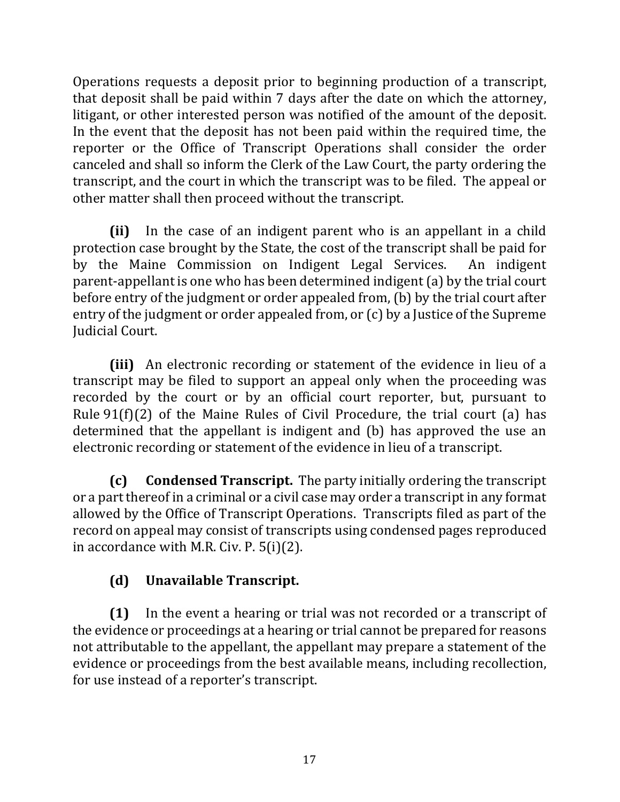Operations requests a deposit prior to beginning production of a transcript, that deposit shall be paid within 7 days after the date on which the attorney, litigant, or other interested person was notified of the amount of the deposit. In the event that the deposit has not been paid within the required time, the reporter or the Office of Transcript Operations shall consider the order canceled and shall so inform the Clerk of the Law Court, the party ordering the transcript, and the court in which the transcript was to be filed. The appeal or other matter shall then proceed without the transcript.

**(ii)** In the case of an indigent parent who is an appellant in a child protection case brought by the State, the cost of the transcript shall be paid for by the Maine Commission on Indigent Legal Services. An indigent parent-appellant is one who has been determined indigent (a) by the trial court before entry of the judgment or order appealed from, (b) by the trial court after entry of the judgment or order appealed from, or (c) by a Justice of the Supreme **Judicial Court.** 

**(iii)** An electronic recording or statement of the evidence in lieu of a transcript may be filed to support an appeal only when the proceeding was recorded by the court or by an official court reporter, but, pursuant to Rule  $91(f)(2)$  of the Maine Rules of Civil Procedure, the trial court (a) has determined that the appellant is indigent and (b) has approved the use an electronic recording or statement of the evidence in lieu of a transcript.

**(c)** Condensed Transcript. The party initially ordering the transcript or a part thereof in a criminal or a civil case may order a transcript in any format allowed by the Office of Transcript Operations. Transcripts filed as part of the record on appeal may consist of transcripts using condensed pages reproduced in accordance with M.R. Civ. P.  $5(i)(2)$ .

# **(d) Unavailable Transcript.**

**(1)** In the event a hearing or trial was not recorded or a transcript of the evidence or proceedings at a hearing or trial cannot be prepared for reasons not attributable to the appellant, the appellant may prepare a statement of the evidence or proceedings from the best available means, including recollection, for use instead of a reporter's transcript.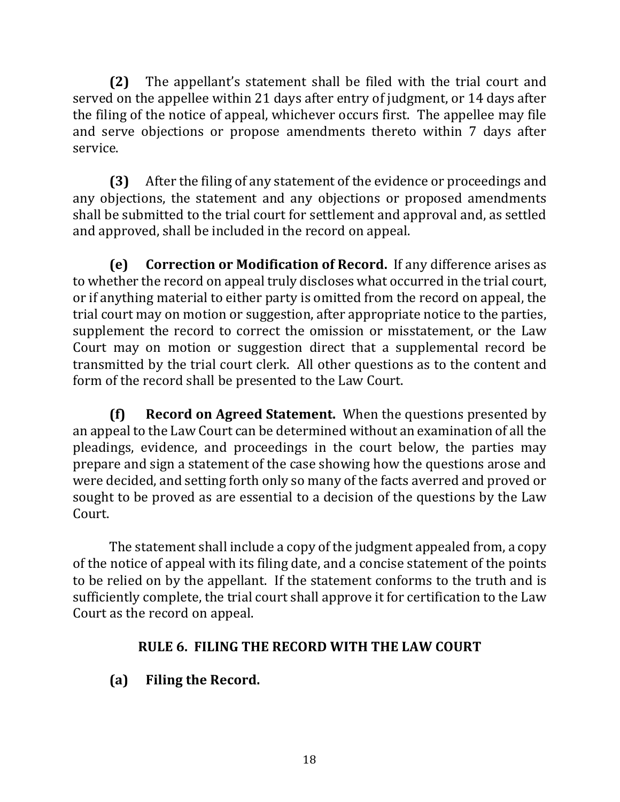**(2)** The appellant's statement shall be filed with the trial court and served on the appellee within 21 days after entry of judgment, or 14 days after the filing of the notice of appeal, whichever occurs first. The appellee may file and serve objections or propose amendments thereto within 7 days after service. 

**(3)** After the filing of any statement of the evidence or proceedings and any objections, the statement and any objections or proposed amendments shall be submitted to the trial court for settlement and approval and, as settled and approved, shall be included in the record on appeal.

**(e)** Correction or Modification of Record. If any difference arises as to whether the record on appeal truly discloses what occurred in the trial court, or if anything material to either party is omitted from the record on appeal, the trial court may on motion or suggestion, after appropriate notice to the parties, supplement the record to correct the omission or misstatement, or the Law Court may on motion or suggestion direct that a supplemental record be transmitted by the trial court clerk. All other questions as to the content and form of the record shall be presented to the Law Court.

**(f) Record on Agreed Statement.** When the questions presented by an appeal to the Law Court can be determined without an examination of all the pleadings, evidence, and proceedings in the court below, the parties may prepare and sign a statement of the case showing how the questions arose and were decided, and setting forth only so many of the facts averred and proved or sought to be proved as are essential to a decision of the questions by the Law Court.

The statement shall include a copy of the judgment appealed from, a copy of the notice of appeal with its filing date, and a concise statement of the points to be relied on by the appellant. If the statement conforms to the truth and is sufficiently complete, the trial court shall approve it for certification to the Law Court as the record on appeal.

# **RULE 6. FILING THE RECORD WITH THE LAW COURT**

# **(a)** Filing the Record.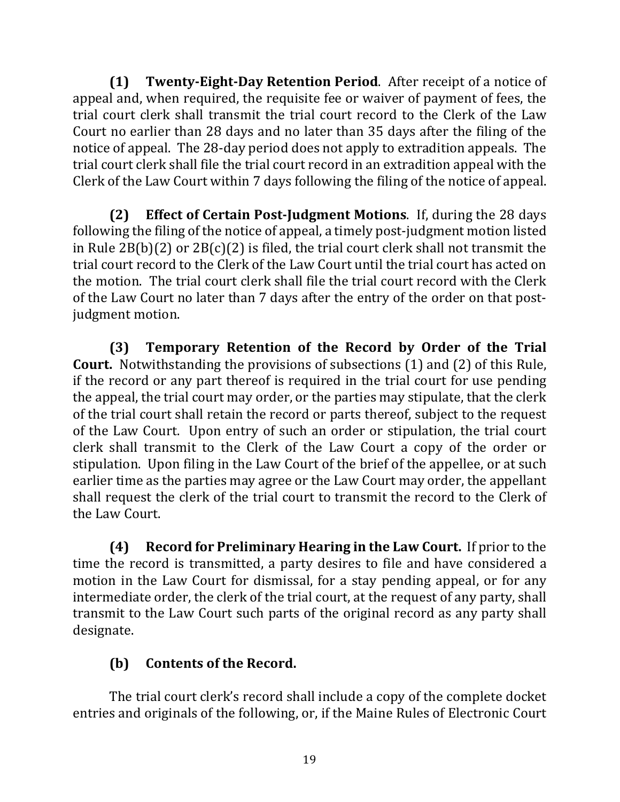**(1) Twenty-Eight-Day Retention Period.** After receipt of a notice of appeal and, when required, the requisite fee or waiver of payment of fees, the trial court clerk shall transmit the trial court record to the Clerk of the Law Court no earlier than 28 days and no later than 35 days after the filing of the notice of appeal. The 28-day period does not apply to extradition appeals. The trial court clerk shall file the trial court record in an extradition appeal with the Clerk of the Law Court within 7 days following the filing of the notice of appeal.

**(2) Effect of Certain Post-Judgment Motions**. If, during the 28 days following the filing of the notice of appeal, a timely post-judgment motion listed in Rule  $2B(b)(2)$  or  $2B(c)(2)$  is filed, the trial court clerk shall not transmit the trial court record to the Clerk of the Law Court until the trial court has acted on the motion. The trial court clerk shall file the trial court record with the Clerk of the Law Court no later than 7 days after the entry of the order on that postjudgment motion.

**(3) Temporary Retention of the Record by Order of the Trial Court.** Notwithstanding the provisions of subsections (1) and (2) of this Rule, if the record or any part thereof is required in the trial court for use pending the appeal, the trial court may order, or the parties may stipulate, that the clerk of the trial court shall retain the record or parts thereof, subject to the request of the Law Court. Upon entry of such an order or stipulation, the trial court clerk shall transmit to the Clerk of the Law Court a copy of the order or stipulation. Upon filing in the Law Court of the brief of the appellee, or at such earlier time as the parties may agree or the Law Court may order, the appellant shall request the clerk of the trial court to transmit the record to the Clerk of the Law Court.

**(4)** Record for Preliminary Hearing in the Law Court. If prior to the time the record is transmitted, a party desires to file and have considered a motion in the Law Court for dismissal, for a stay pending appeal, or for any intermediate order, the clerk of the trial court, at the request of any party, shall transmit to the Law Court such parts of the original record as any party shall designate. 

# **(b)** Contents of the Record.

The trial court clerk's record shall include a copy of the complete docket entries and originals of the following, or, if the Maine Rules of Electronic Court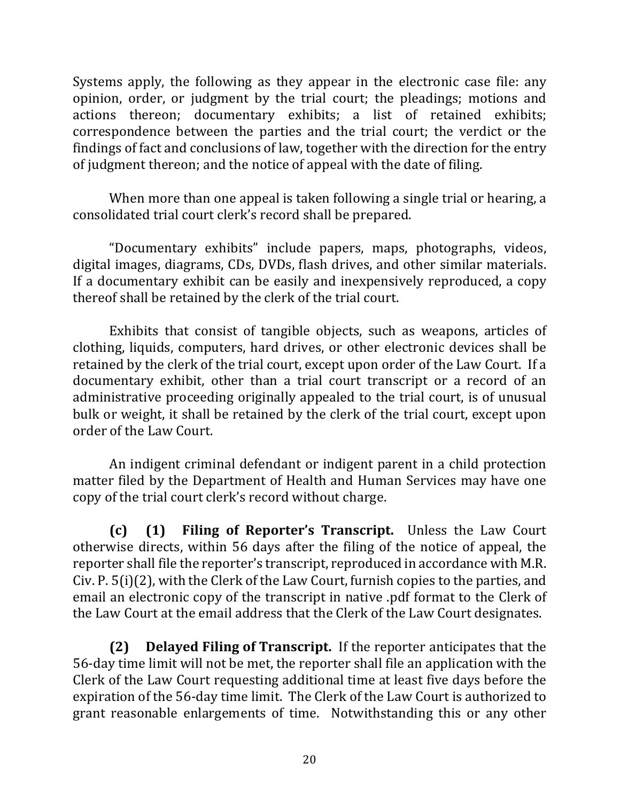Systems apply, the following as they appear in the electronic case file: any opinion, order, or judgment by the trial court; the pleadings; motions and actions thereon; documentary exhibits; a list of retained exhibits; correspondence between the parties and the trial court; the verdict or the findings of fact and conclusions of law, together with the direction for the entry of judgment thereon; and the notice of appeal with the date of filing.

When more than one appeal is taken following a single trial or hearing, a consolidated trial court clerk's record shall be prepared.

"Documentary exhibits" include papers, maps, photographs, videos, digital images, diagrams, CDs, DVDs, flash drives, and other similar materials. If a documentary exhibit can be easily and inexpensively reproduced, a copy thereof shall be retained by the clerk of the trial court.

Exhibits that consist of tangible objects, such as weapons, articles of clothing, liquids, computers, hard drives, or other electronic devices shall be retained by the clerk of the trial court, except upon order of the Law Court. If a documentary exhibit, other than a trial court transcript or a record of an administrative proceeding originally appealed to the trial court, is of unusual bulk or weight, it shall be retained by the clerk of the trial court, except upon order of the Law Court.

An indigent criminal defendant or indigent parent in a child protection matter filed by the Department of Health and Human Services may have one copy of the trial court clerk's record without charge.

**(c)** (1) Filing of Reporter's Transcript. Unless the Law Court otherwise directs, within 56 days after the filing of the notice of appeal, the reporter shall file the reporter's transcript, reproduced in accordance with M.R. Civ. P.  $5(i)(2)$ , with the Clerk of the Law Court, furnish copies to the parties, and email an electronic copy of the transcript in native .pdf format to the Clerk of the Law Court at the email address that the Clerk of the Law Court designates.

**(2) Delayed Filing of Transcript.** If the reporter anticipates that the 56-day time limit will not be met, the reporter shall file an application with the Clerk of the Law Court requesting additional time at least five days before the expiration of the 56-day time limit. The Clerk of the Law Court is authorized to grant reasonable enlargements of time. Notwithstanding this or any other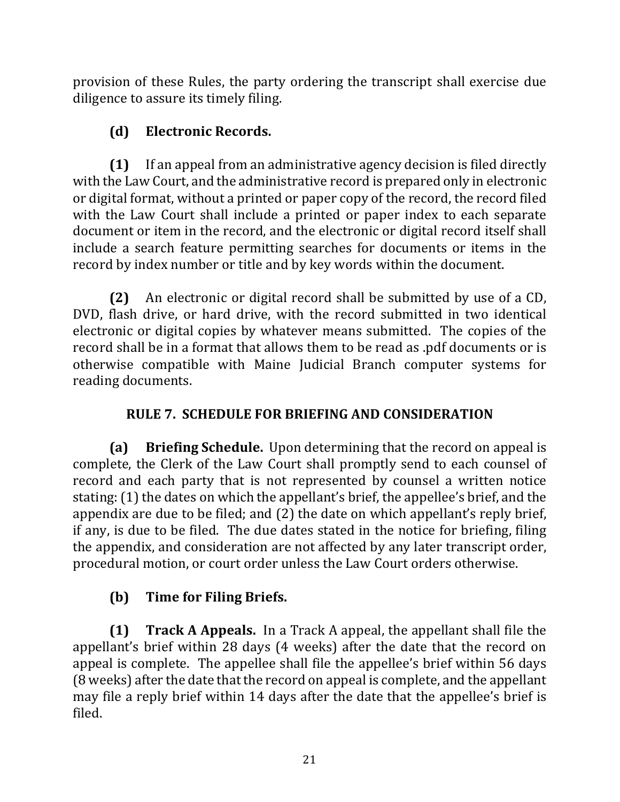provision of these Rules, the party ordering the transcript shall exercise due diligence to assure its timely filing.

# **(d) Electronic Records.**

**(1)** If an appeal from an administrative agency decision is filed directly with the Law Court, and the administrative record is prepared only in electronic or digital format, without a printed or paper copy of the record, the record filed with the Law Court shall include a printed or paper index to each separate document or item in the record, and the electronic or digital record itself shall include a search feature permitting searches for documents or items in the record by index number or title and by key words within the document.

**(2)** An electronic or digital record shall be submitted by use of a CD, DVD, flash drive, or hard drive, with the record submitted in two identical electronic or digital copies by whatever means submitted. The copies of the record shall be in a format that allows them to be read as .pdf documents or is otherwise compatible with Maine Judicial Branch computer systems for reading documents.

# **RULE 7. SCHEDULE FOR BRIEFING AND CONSIDERATION**

**(a) Briefing Schedule.** Upon determining that the record on appeal is complete, the Clerk of the Law Court shall promptly send to each counsel of record and each party that is not represented by counsel a written notice stating: (1) the dates on which the appellant's brief, the appellee's brief, and the appendix are due to be filed; and  $(2)$  the date on which appellant's reply brief, if any, is due to be filed. The due dates stated in the notice for briefing, filing the appendix, and consideration are not affected by any later transcript order, procedural motion, or court order unless the Law Court orders otherwise.

# **(b)** Time for Filing Briefs.

**(1) Track A Appeals.** In a Track A appeal, the appellant shall file the appellant's brief within 28 days (4 weeks) after the date that the record on appeal is complete. The appellee shall file the appellee's brief within 56 days (8 weeks) after the date that the record on appeal is complete, and the appellant may file a reply brief within 14 days after the date that the appellee's brief is filed.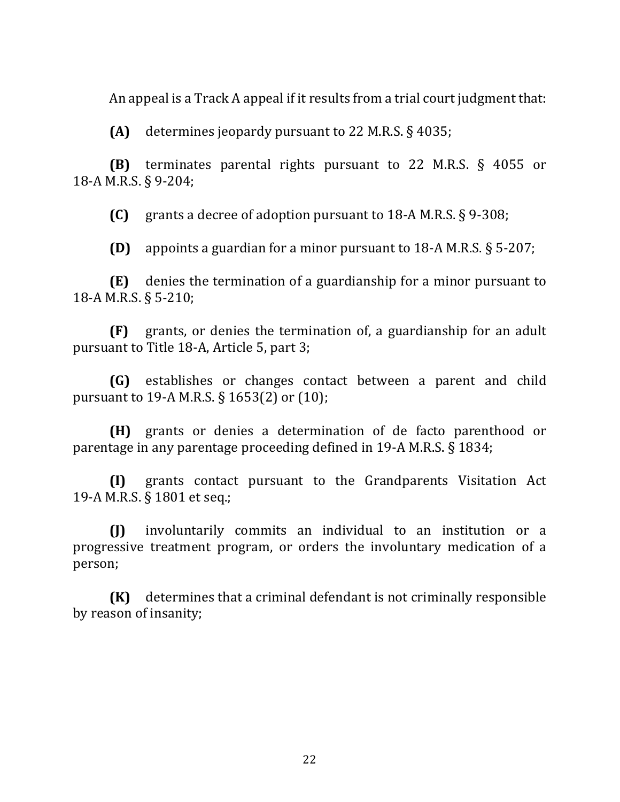An appeal is a Track A appeal if it results from a trial court judgment that:

 $(A)$  determines jeopardy pursuant to 22 M.R.S.  $\S$  4035;

**(B)** terminates parental rights pursuant to 22 M.R.S. § 4055 or 18-A M.R.S. § 9-204;

**(C)** grants a decree of adoption pursuant to 18-A M.R.S. § 9-308;

**(D)** appoints a guardian for a minor pursuant to  $18-A$  M.R.S.  $\S$  5-207;

**(E)** denies the termination of a guardianship for a minor pursuant to 18-A M.R.S. § 5-210;

**(F)** grants, or denies the termination of, a guardianship for an adult pursuant to Title 18-A, Article 5, part 3;

**(G)** establishes or changes contact between a parent and child pursuant to 19-A M.R.S.  $\S$  1653(2) or (10);

**(H)** grants or denies a determination of de facto parenthood or parentage in any parentage proceeding defined in 19-A M.R.S. § 1834;

**(I)** grants contact pursuant to the Grandparents Visitation Act 19-A M.R.S. § 1801 et seq.;

**(J)** involuntarily commits an individual to an institution or a progressive treatment program, or orders the involuntary medication of a person;

**(K)** determines that a criminal defendant is not criminally responsible by reason of insanity;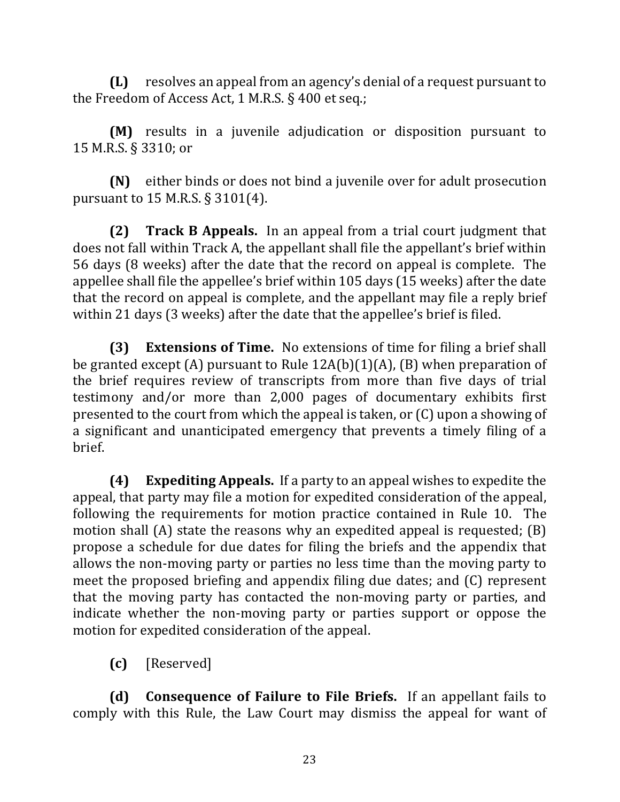**(L)** resolves an appeal from an agency's denial of a request pursuant to the Freedom of Access Act, 1 M.R.S.  $\S$  400 et seq.;

**(M)** results in a juvenile adjudication or disposition pursuant to 15 M.R.S. § 3310; or

**(N)** either binds or does not bind a juvenile over for adult prosecution pursuant to  $15$  M.R.S.  $\S 3101(4)$ .

**(2) Track B Appeals.** In an appeal from a trial court judgment that does not fall within Track A, the appellant shall file the appellant's brief within 56 days (8 weeks) after the date that the record on appeal is complete. The appellee shall file the appellee's brief within 105 days (15 weeks) after the date that the record on appeal is complete, and the appellant may file a reply brief within 21 days (3 weeks) after the date that the appellee's brief is filed.

**(3) Extensions of Time.** No extensions of time for filing a brief shall be granted except (A) pursuant to Rule  $12A(b)(1)(A)$ , (B) when preparation of the brief requires review of transcripts from more than five days of trial testimony and/or more than 2,000 pages of documentary exhibits first presented to the court from which the appeal is taken, or  $(C)$  upon a showing of a significant and unanticipated emergency that prevents a timely filing of a brief.

**(4) Expediting Appeals.** If a party to an appeal wishes to expedite the appeal, that party may file a motion for expedited consideration of the appeal, following the requirements for motion practice contained in Rule 10. The motion shall  $(A)$  state the reasons why an expedited appeal is requested;  $(B)$ propose a schedule for due dates for filing the briefs and the appendix that allows the non-moving party or parties no less time than the moving party to meet the proposed briefing and appendix filing due dates; and (C) represent that the moving party has contacted the non-moving party or parties, and indicate whether the non-moving party or parties support or oppose the motion for expedited consideration of the appeal.

**(c)** [Reserved]

**(d) Consequence of Failure to File Briefs.** If an appellant fails to comply with this Rule, the Law Court may dismiss the appeal for want of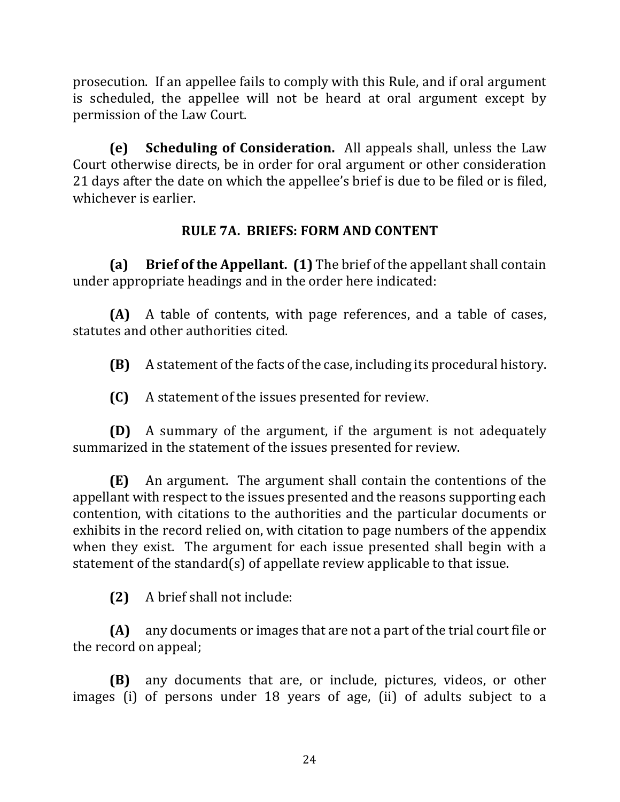prosecution. If an appellee fails to comply with this Rule, and if oral argument is scheduled, the appellee will not be heard at oral argument except by permission of the Law Court.

**(e)** Scheduling of Consideration. All appeals shall, unless the Law Court otherwise directs, be in order for oral argument or other consideration 21 days after the date on which the appellee's brief is due to be filed or is filed, whichever is earlier.

## **RULE 7A. BRIEFS: FORM AND CONTENT**

**(a)** Brief of the Appellant. **(1)** The brief of the appellant shall contain under appropriate headings and in the order here indicated:

**(A)** A table of contents, with page references, and a table of cases, statutes and other authorities cited.

**(B)** A statement of the facts of the case, including its procedural history.

**(C)** A statement of the issues presented for review.

**(D)** A summary of the argument, if the argument is not adequately summarized in the statement of the issues presented for review.

**(E)** An argument. The argument shall contain the contentions of the appellant with respect to the issues presented and the reasons supporting each contention, with citations to the authorities and the particular documents or exhibits in the record relied on, with citation to page numbers of the appendix when they exist. The argument for each issue presented shall begin with a statement of the standard(s) of appellate review applicable to that issue.

**(2)** A brief shall not include:

**(A)** any documents or images that are not a part of the trial court file or the record on appeal;

**(B)** any documents that are, or include, pictures, videos, or other images (i) of persons under 18 years of age, (ii) of adults subject to a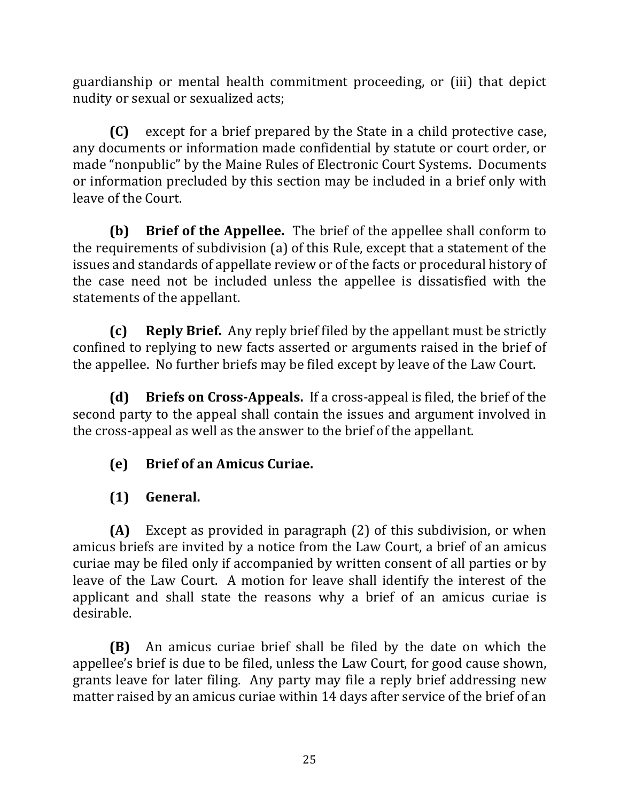guardianship or mental health commitment proceeding, or (iii) that depict nudity or sexual or sexualized acts;

**(C)** except for a brief prepared by the State in a child protective case, any documents or information made confidential by statute or court order, or made "nonpublic" by the Maine Rules of Electronic Court Systems. Documents or information precluded by this section may be included in a brief only with leave of the Court.

**(b)** Brief of the Appellee. The brief of the appellee shall conform to the requirements of subdivision (a) of this Rule, except that a statement of the issues and standards of appellate review or of the facts or procedural history of the case need not be included unless the appellee is dissatisfied with the statements of the appellant.

**(c) Reply Brief.** Any reply brief filed by the appellant must be strictly confined to replying to new facts asserted or arguments raised in the brief of the appellee. No further briefs may be filed except by leave of the Law Court.

**(d)** Briefs on Cross-Appeals. If a cross-appeal is filed, the brief of the second party to the appeal shall contain the issues and argument involved in the cross-appeal as well as the answer to the brief of the appellant.

**(e)** Brief of an Amicus Curiae.

**(1) General.**

**(A)** Except as provided in paragraph (2) of this subdivision, or when amicus briefs are invited by a notice from the Law Court, a brief of an amicus curiae may be filed only if accompanied by written consent of all parties or by leave of the Law Court. A motion for leave shall identify the interest of the applicant and shall state the reasons why a brief of an amicus curiae is desirable.

**(B)** An amicus curiae brief shall be filed by the date on which the appellee's brief is due to be filed, unless the Law Court, for good cause shown, grants leave for later filing. Any party may file a reply brief addressing new matter raised by an amicus curiae within 14 days after service of the brief of an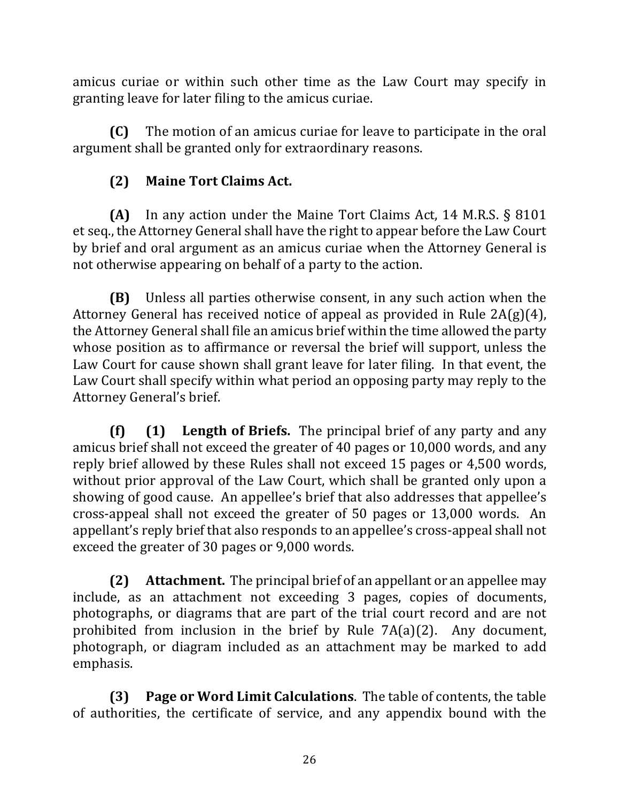amicus curiae or within such other time as the Law Court may specify in granting leave for later filing to the amicus curiae.

**(C)** The motion of an amicus curiae for leave to participate in the oral argument shall be granted only for extraordinary reasons.

## **(2) Maine Tort Claims Act.**

**(A)** In any action under the Maine Tort Claims Act, 14 M.R.S. § 8101 et seq., the Attorney General shall have the right to appear before the Law Court by brief and oral argument as an amicus curiae when the Attorney General is not otherwise appearing on behalf of a party to the action.

**(B)** Unless all parties otherwise consent, in any such action when the Attorney General has received notice of appeal as provided in Rule  $2A(g)(4)$ , the Attorney General shall file an amicus brief within the time allowed the party whose position as to affirmance or reversal the brief will support, unless the Law Court for cause shown shall grant leave for later filing. In that event, the Law Court shall specify within what period an opposing party may reply to the Attorney General's brief.

**(f)** (1) Length of Briefs. The principal brief of any party and any amicus brief shall not exceed the greater of 40 pages or 10,000 words, and any reply brief allowed by these Rules shall not exceed 15 pages or 4,500 words, without prior approval of the Law Court, which shall be granted only upon a showing of good cause. An appellee's brief that also addresses that appellee's cross-appeal shall not exceed the greater of 50 pages or 13,000 words. An appellant's reply brief that also responds to an appellee's cross-appeal shall not exceed the greater of 30 pages or 9,000 words.

**(2)** Attachment. The principal brief of an appellant or an appellee may include, as an attachment not exceeding 3 pages, copies of documents, photographs, or diagrams that are part of the trial court record and are not prohibited from inclusion in the brief by Rule  $7A(a)(2)$ . Any document, photograph, or diagram included as an attachment may be marked to add emphasis.

**(3) Page or Word Limit Calculations.** The table of contents, the table of authorities, the certificate of service, and any appendix bound with the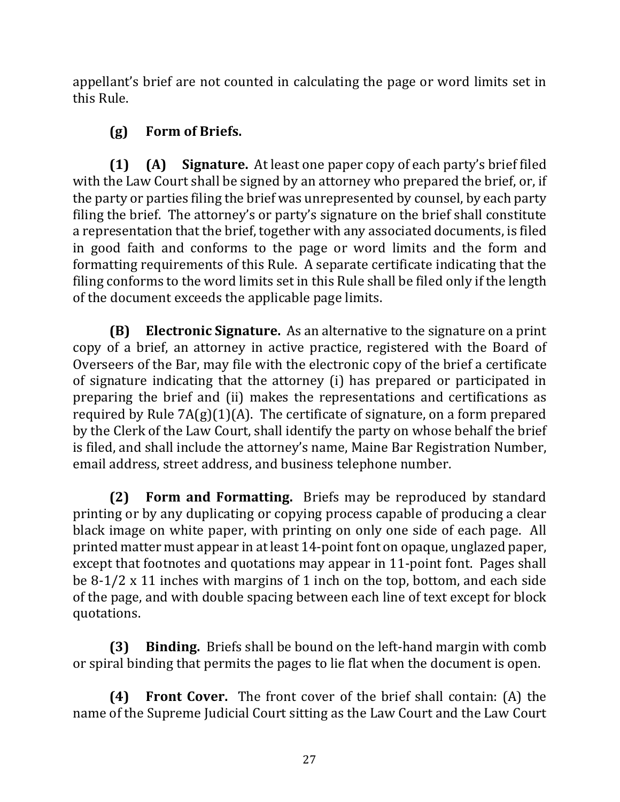appellant's brief are not counted in calculating the page or word limits set in this Rule.

# **(g) Form of Briefs.**

**(1) (A) Signature.** At least one paper copy of each party's brief filed with the Law Court shall be signed by an attorney who prepared the brief, or, if the party or parties filing the brief was unrepresented by counsel, by each party filing the brief. The attorney's or party's signature on the brief shall constitute a representation that the brief, together with any associated documents, is filed in good faith and conforms to the page or word limits and the form and formatting requirements of this Rule. A separate certificate indicating that the filing conforms to the word limits set in this Rule shall be filed only if the length of the document exceeds the applicable page limits.

**(B) Electronic Signature.** As an alternative to the signature on a print copy of a brief, an attorney in active practice, registered with the Board of Overseers of the Bar, may file with the electronic copy of the brief a certificate of signature indicating that the attorney (i) has prepared or participated in preparing the brief and (ii) makes the representations and certifications as required by Rule  $7A(g)(1)(A)$ . The certificate of signature, on a form prepared by the Clerk of the Law Court, shall identify the party on whose behalf the brief is filed, and shall include the attorney's name, Maine Bar Registration Number, email address, street address, and business telephone number.

**(2) Form and Formatting.** Briefs may be reproduced by standard printing or by any duplicating or copying process capable of producing a clear black image on white paper, with printing on only one side of each page. All printed matter must appear in at least 14-point font on opaque, unglazed paper, except that footnotes and quotations may appear in 11-point font. Pages shall be  $8-1/2 \times 11$  inches with margins of 1 inch on the top, bottom, and each side of the page, and with double spacing between each line of text except for block quotations.

**(3) Binding.** Briefs shall be bound on the left-hand margin with comb or spiral binding that permits the pages to lie flat when the document is open.

**(4) Front Cover.** The front cover of the brief shall contain: (A) the name of the Supreme Judicial Court sitting as the Law Court and the Law Court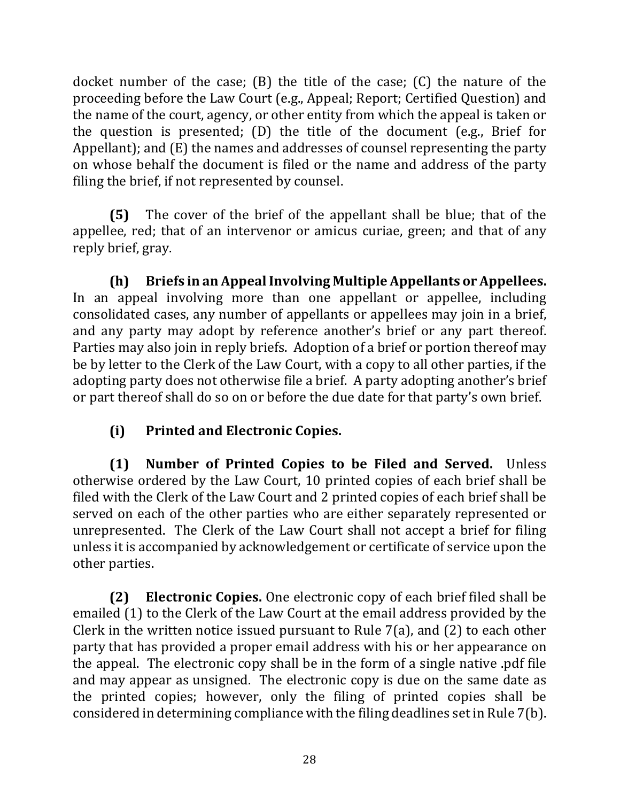docket number of the case;  $(B)$  the title of the case;  $(C)$  the nature of the proceeding before the Law Court (e.g., Appeal; Report; Certified Question) and the name of the court, agency, or other entity from which the appeal is taken or the question is presented;  $(D)$  the title of the document (e.g., Brief for Appellant); and  $(E)$  the names and addresses of counsel representing the party on whose behalf the document is filed or the name and address of the party filing the brief, if not represented by counsel.

**(5)** The cover of the brief of the appellant shall be blue; that of the appellee, red; that of an intervenor or amicus curiae, green; and that of any reply brief, gray.

**(h)** Briefs in an Appeal Involving Multiple Appellants or Appellees. In an appeal involving more than one appellant or appellee, including consolidated cases, any number of appellants or appellees may join in a brief, and any party may adopt by reference another's brief or any part thereof. Parties may also join in reply briefs. Adoption of a brief or portion thereof may be by letter to the Clerk of the Law Court, with a copy to all other parties, if the adopting party does not otherwise file a brief. A party adopting another's brief or part thereof shall do so on or before the due date for that party's own brief.

# **(i) Printed and Electronic Copies.**

**(1)** Number of Printed Copies to be Filed and Served. Unless otherwise ordered by the Law Court, 10 printed copies of each brief shall be filed with the Clerk of the Law Court and 2 printed copies of each brief shall be served on each of the other parties who are either separately represented or unrepresented. The Clerk of the Law Court shall not accept a brief for filing unless it is accompanied by acknowledgement or certificate of service upon the other parties.

**(2) Electronic Copies.** One electronic copy of each brief filed shall be emailed (1) to the Clerk of the Law Court at the email address provided by the Clerk in the written notice issued pursuant to Rule  $7(a)$ , and  $(2)$  to each other party that has provided a proper email address with his or her appearance on the appeal. The electronic copy shall be in the form of a single native pdf file and may appear as unsigned. The electronic copy is due on the same date as the printed copies; however, only the filing of printed copies shall be considered in determining compliance with the filing deadlines set in Rule 7(b).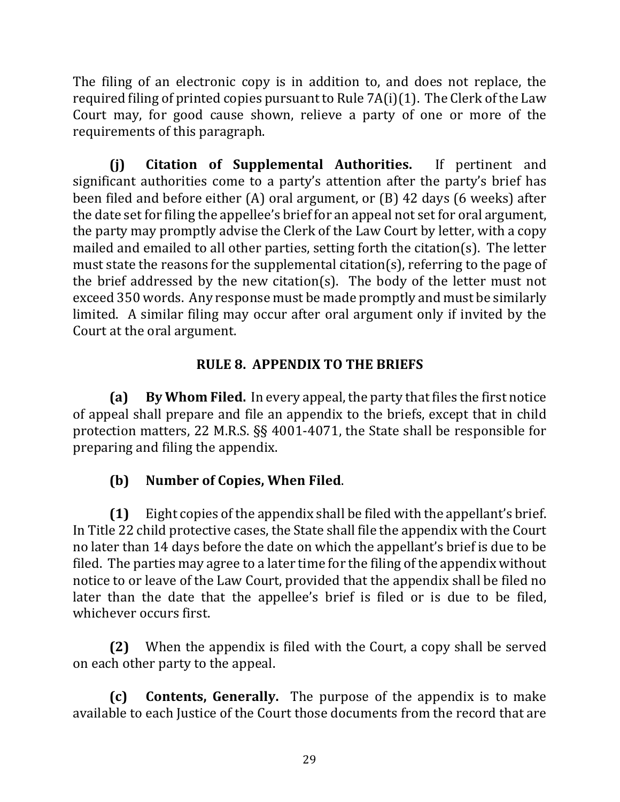The filing of an electronic copy is in addition to, and does not replace, the required filing of printed copies pursuant to Rule  $7A(i)(1)$ . The Clerk of the Law Court may, for good cause shown, relieve a party of one or more of the requirements of this paragraph.

**(j) Citation of Supplemental Authorities.** If pertinent and significant authorities come to a party's attention after the party's brief has been filed and before either  $(A)$  oral argument, or  $(B)$  42 days  $(6 \text{ weeks})$  after the date set for filing the appellee's brief for an appeal not set for oral argument, the party may promptly advise the Clerk of the Law Court by letter, with a copy mailed and emailed to all other parties, setting forth the citation(s). The letter must state the reasons for the supplemental citation(s), referring to the page of the brief addressed by the new citation(s). The body of the letter must not exceed 350 words. Any response must be made promptly and must be similarly limited. A similar filing may occur after oral argument only if invited by the Court at the oral argument.

# **RULE 8. APPENDIX TO THE BRIEFS**

**(a)** By Whom Filed. In every appeal, the party that files the first notice of appeal shall prepare and file an appendix to the briefs, except that in child protection matters, 22 M.R.S.  $\S$ § 4001-4071, the State shall be responsible for preparing and filing the appendix.

# **(b) Number of Copies, When Filed**.

**(1)** Eight copies of the appendix shall be filed with the appellant's brief. In Title 22 child protective cases, the State shall file the appendix with the Court no later than 14 days before the date on which the appellant's brief is due to be filed. The parties may agree to a later time for the filing of the appendix without notice to or leave of the Law Court, provided that the appendix shall be filed no later than the date that the appellee's brief is filed or is due to be filed, whichever occurs first.

**(2)** When the appendix is filed with the Court, a copy shall be served on each other party to the appeal.

**(c) Contents, Generally.** The purpose of the appendix is to make available to each Justice of the Court those documents from the record that are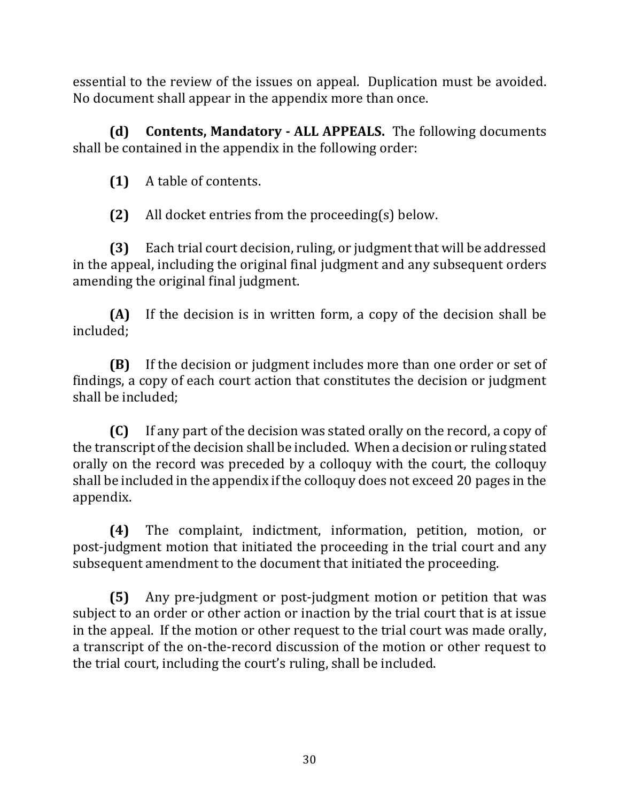essential to the review of the issues on appeal. Duplication must be avoided. No document shall appear in the appendix more than once.

**(d)** Contents, Mandatory - ALL APPEALS. The following documents shall be contained in the appendix in the following order:

**(1)** A table of contents.

**(2)** All docket entries from the proceeding(s) below.

**(3)** Each trial court decision, ruling, or judgment that will be addressed in the appeal, including the original final judgment and any subsequent orders amending the original final judgment.

**(A)** If the decision is in written form, a copy of the decision shall be included;

**(B)** If the decision or judgment includes more than one order or set of findings, a copy of each court action that constitutes the decision or judgment shall be included:

**(C)** If any part of the decision was stated orally on the record, a copy of the transcript of the decision shall be included. When a decision or ruling stated orally on the record was preceded by a colloquy with the court, the colloquy shall be included in the appendix if the colloquy does not exceed 20 pages in the appendix. 

**(4)** The complaint, indictment, information, petition, motion, or post-judgment motion that initiated the proceeding in the trial court and any subsequent amendment to the document that initiated the proceeding.

**(5)** Any pre-judgment or post-judgment motion or petition that was subject to an order or other action or inaction by the trial court that is at issue in the appeal. If the motion or other request to the trial court was made orally, a transcript of the on-the-record discussion of the motion or other request to the trial court, including the court's ruling, shall be included.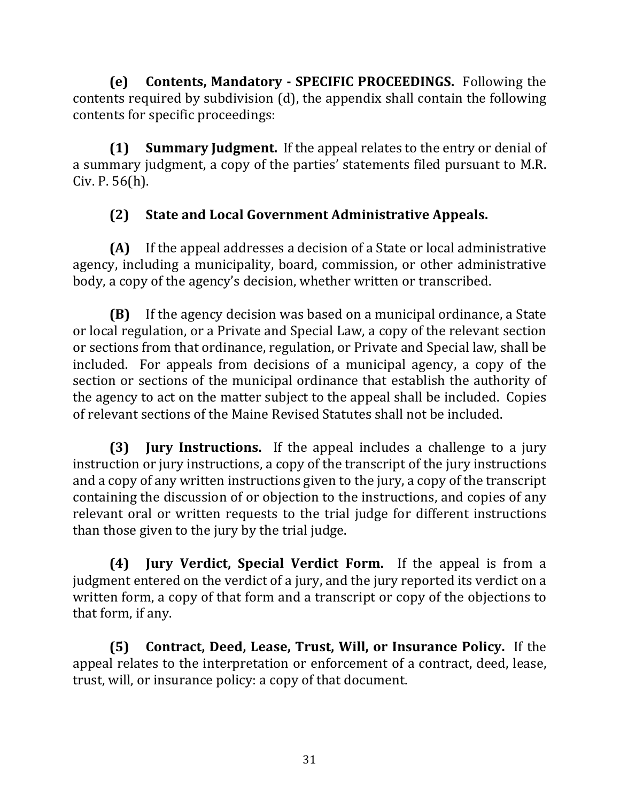**(e)** Contents, Mandatory - SPECIFIC PROCEEDINGS. Following the contents required by subdivision  $(d)$ , the appendix shall contain the following contents for specific proceedings:

**(1) Summary Judgment.** If the appeal relates to the entry or denial of a summary judgment, a copy of the parties' statements filed pursuant to M.R.  $Civ. P. 56(h).$ 

# **(2) State and Local Government Administrative Appeals.**

**(A)** If the appeal addresses a decision of a State or local administrative agency, including a municipality, board, commission, or other administrative body, a copy of the agency's decision, whether written or transcribed.

**(B)** If the agency decision was based on a municipal ordinance, a State or local regulation, or a Private and Special Law, a copy of the relevant section or sections from that ordinance, regulation, or Private and Special law, shall be included. For appeals from decisions of a municipal agency, a copy of the section or sections of the municipal ordinance that establish the authority of the agency to act on the matter subject to the appeal shall be included. Copies of relevant sections of the Maine Revised Statutes shall not be included.

**(3) Jury Instructions.** If the appeal includes a challenge to a jury instruction or jury instructions, a copy of the transcript of the jury instructions and a copy of any written instructions given to the jury, a copy of the transcript containing the discussion of or objection to the instructions, and copies of any relevant oral or written requests to the trial judge for different instructions than those given to the jury by the trial judge.

**(4) Jury Verdict, Special Verdict Form.** If the appeal is from a judgment entered on the verdict of a jury, and the jury reported its verdict on a written form, a copy of that form and a transcript or copy of the objections to that form, if any.

**(5)** Contract, Deed, Lease, Trust, Will, or Insurance Policy. If the appeal relates to the interpretation or enforcement of a contract, deed, lease, trust, will, or insurance policy: a copy of that document.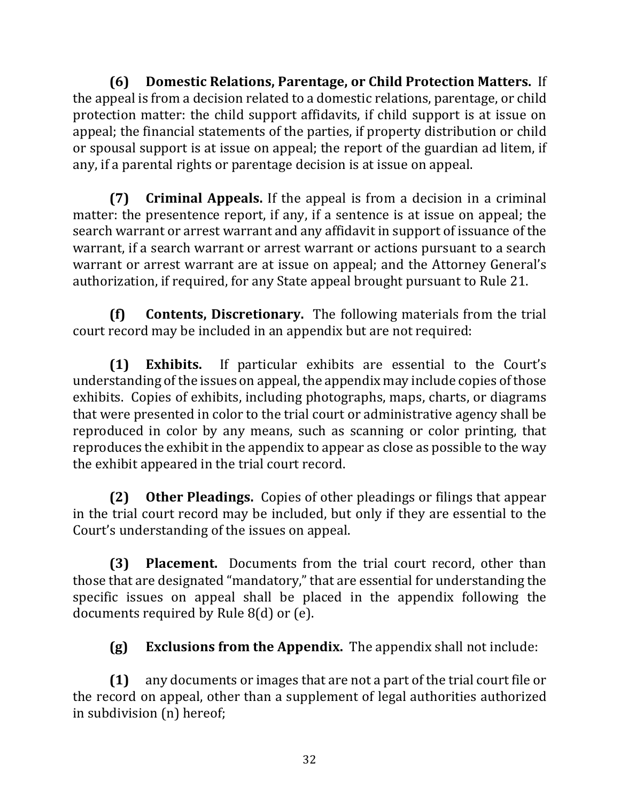**(6) Domestic Relations, Parentage, or Child Protection Matters.** If the appeal is from a decision related to a domestic relations, parentage, or child protection matter: the child support affidavits, if child support is at issue on appeal; the financial statements of the parties, if property distribution or child or spousal support is at issue on appeal; the report of the guardian ad litem, if any, if a parental rights or parentage decision is at issue on appeal.

**(7) Criminal Appeals.** If the appeal is from a decision in a criminal matter: the presentence report, if any, if a sentence is at issue on appeal; the search warrant or arrest warrant and any affidavit in support of issuance of the warrant, if a search warrant or arrest warrant or actions pursuant to a search warrant or arrest warrant are at issue on appeal; and the Attorney General's authorization, if required, for any State appeal brought pursuant to Rule 21.

**(f) Contents, Discretionary.** The following materials from the trial court record may be included in an appendix but are not required:

**(1) Exhibits.** If particular exhibits are essential to the Court's understanding of the issues on appeal, the appendix may include copies of those exhibits. Copies of exhibits, including photographs, maps, charts, or diagrams that were presented in color to the trial court or administrative agency shall be reproduced in color by any means, such as scanning or color printing, that reproduces the exhibit in the appendix to appear as close as possible to the way the exhibit appeared in the trial court record.

**(2) Other Pleadings.** Copies of other pleadings or filings that appear in the trial court record may be included, but only if they are essential to the Court's understanding of the issues on appeal.

**(3) Placement.** Documents from the trial court record, other than those that are designated "mandatory," that are essential for understanding the specific issues on appeal shall be placed in the appendix following the documents required by Rule  $8(d)$  or (e).

**(g) Exclusions from the Appendix.** The appendix shall not include:

**(1)** any documents or images that are not a part of the trial court file or the record on appeal, other than a supplement of legal authorities authorized in subdivision (n) hereof;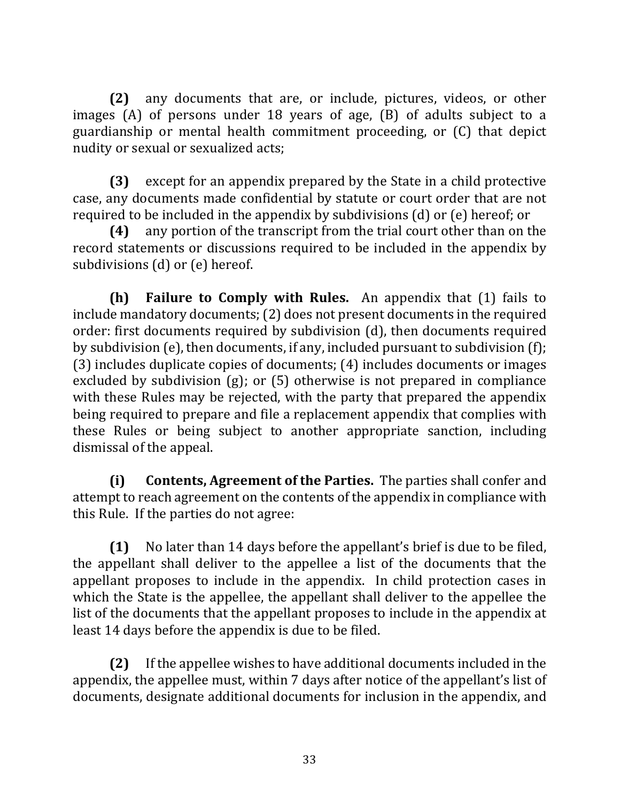**(2)** any documents that are, or include, pictures, videos, or other images  $(A)$  of persons under 18 years of age,  $(B)$  of adults subject to a guardianship or mental health commitment proceeding, or (C) that depict nudity or sexual or sexualized acts;

**(3)** except for an appendix prepared by the State in a child protective case, any documents made confidential by statute or court order that are not required to be included in the appendix by subdivisions  $(d)$  or  $(e)$  hereof; or

**(4)** any portion of the transcript from the trial court other than on the record statements or discussions required to be included in the appendix by subdivisions  $(d)$  or  $(e)$  hereof.

**(h) Failure to Comply with Rules.** An appendix that (1) fails to include mandatory documents; (2) does not present documents in the required order: first documents required by subdivision (d), then documents required by subdivision  $(e)$ , then documents, if any, included pursuant to subdivision  $(f)$ ;  $(3)$  includes duplicate copies of documents;  $(4)$  includes documents or images excluded by subdivision  $(g)$ ; or  $(5)$  otherwise is not prepared in compliance with these Rules may be rejected, with the party that prepared the appendix being required to prepare and file a replacement appendix that complies with these Rules or being subject to another appropriate sanction, including dismissal of the appeal.

**(i)** Contents, Agreement of the Parties. The parties shall confer and attempt to reach agreement on the contents of the appendix in compliance with this Rule. If the parties do not agree:

**(1)** No later than 14 days before the appellant's brief is due to be filed, the appellant shall deliver to the appellee a list of the documents that the appellant proposes to include in the appendix. In child protection cases in which the State is the appellee, the appellant shall deliver to the appellee the list of the documents that the appellant proposes to include in the appendix at least 14 days before the appendix is due to be filed.

**(2)** If the appellee wishes to have additional documents included in the appendix, the appellee must, within 7 days after notice of the appellant's list of documents, designate additional documents for inclusion in the appendix, and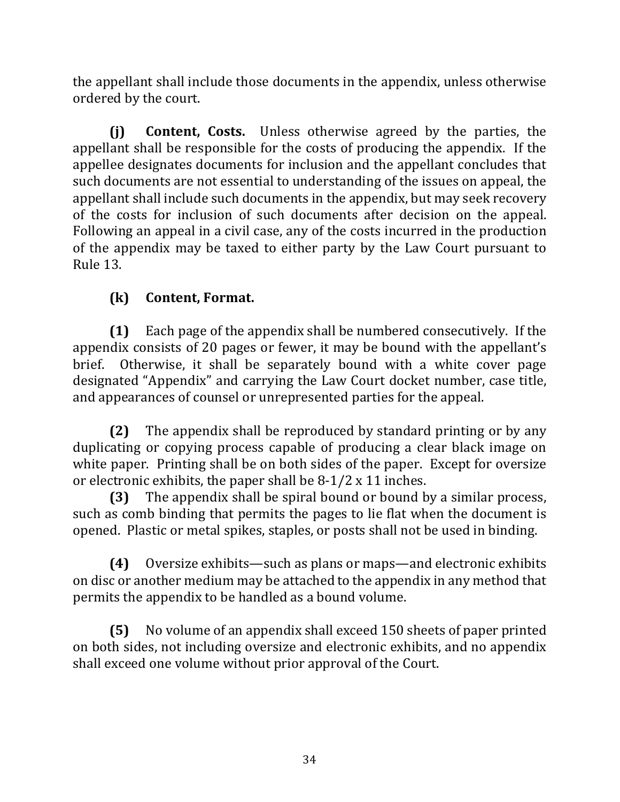the appellant shall include those documents in the appendix, unless otherwise ordered by the court.

**(i) Content, Costs.** Unless otherwise agreed by the parties, the appellant shall be responsible for the costs of producing the appendix. If the appellee designates documents for inclusion and the appellant concludes that such documents are not essential to understanding of the issues on appeal, the appellant shall include such documents in the appendix, but may seek recovery of the costs for inclusion of such documents after decision on the appeal. Following an appeal in a civil case, any of the costs incurred in the production of the appendix may be taxed to either party by the Law Court pursuant to Rule 13.

# **(k) Content, Format.**

**(1)** Each page of the appendix shall be numbered consecutively. If the appendix consists of 20 pages or fewer, it may be bound with the appellant's brief. Otherwise, it shall be separately bound with a white cover page designated "Appendix" and carrying the Law Court docket number, case title, and appearances of counsel or unrepresented parties for the appeal.

**(2)** The appendix shall be reproduced by standard printing or by any duplicating or copying process capable of producing a clear black image on white paper. Printing shall be on both sides of the paper. Except for oversize or electronic exhibits, the paper shall be  $8-1/2 \times 11$  inches.

**(3)** The appendix shall be spiral bound or bound by a similar process, such as comb binding that permits the pages to lie flat when the document is opened. Plastic or metal spikes, staples, or posts shall not be used in binding.

**(4)** Oversize exhibits—such as plans or maps—and electronic exhibits on disc or another medium may be attached to the appendix in any method that permits the appendix to be handled as a bound volume.

**(5)** No volume of an appendix shall exceed 150 sheets of paper printed on both sides, not including oversize and electronic exhibits, and no appendix shall exceed one volume without prior approval of the Court.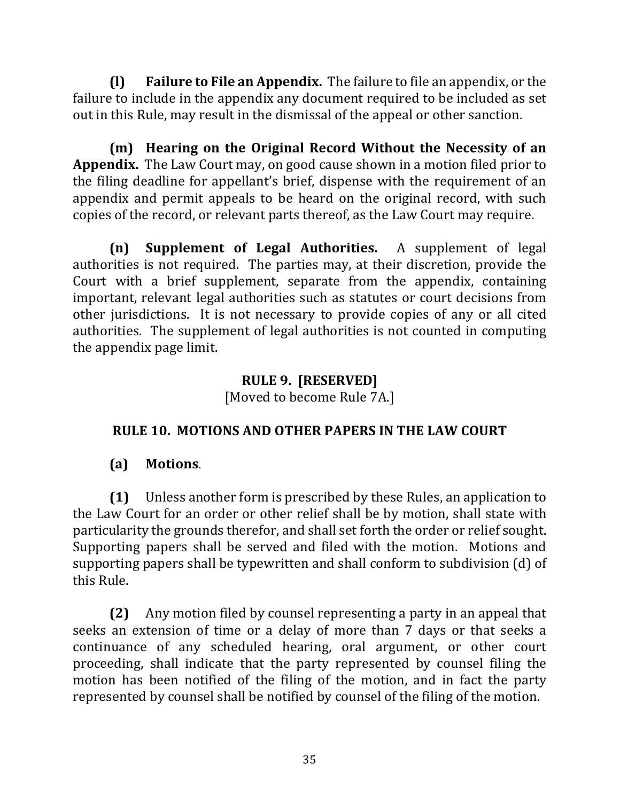**(I) Failure to File an Appendix.** The failure to file an appendix, or the failure to include in the appendix any document required to be included as set out in this Rule, may result in the dismissal of the appeal or other sanction.

**(m)** Hearing on the Original Record Without the Necessity of an **Appendix.** The Law Court may, on good cause shown in a motion filed prior to the filing deadline for appellant's brief, dispense with the requirement of an appendix and permit appeals to be heard on the original record, with such copies of the record, or relevant parts thereof, as the Law Court may require.

**(n) Supplement of Legal Authorities.** A supplement of legal authorities is not required. The parties may, at their discretion, provide the Court with a brief supplement, separate from the appendix, containing important, relevant legal authorities such as statutes or court decisions from other jurisdictions. It is not necessary to provide copies of any or all cited authorities. The supplement of legal authorities is not counted in computing the appendix page limit.

# **RULE 9. [RESERVED]**

[Moved to become Rule 7A.]

#### **RULE 10. MOTIONS AND OTHER PAPERS IN THE LAW COURT**

#### **(a) Motions**.

**(1)** Unless another form is prescribed by these Rules, an application to the Law Court for an order or other relief shall be by motion, shall state with particularity the grounds therefor, and shall set forth the order or relief sought. Supporting papers shall be served and filed with the motion. Motions and supporting papers shall be typewritten and shall conform to subdivision (d) of this Rule.

**(2)** Any motion filed by counsel representing a party in an appeal that seeks an extension of time or a delay of more than 7 days or that seeks a continuance of any scheduled hearing, oral argument, or other court proceeding, shall indicate that the party represented by counsel filing the motion has been notified of the filing of the motion, and in fact the party represented by counsel shall be notified by counsel of the filing of the motion.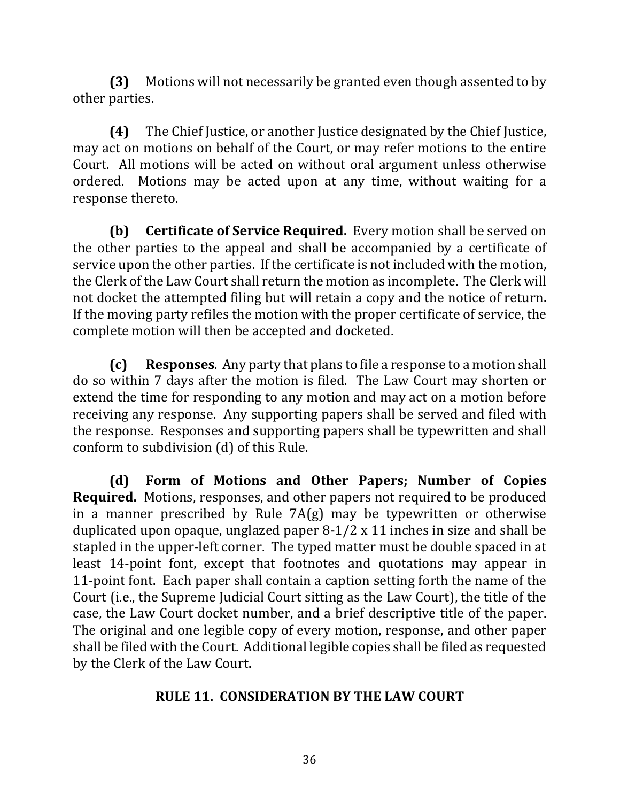**(3)** Motions will not necessarily be granted even though assented to by other parties.

**(4)** The Chief Justice, or another Justice designated by the Chief Justice, may act on motions on behalf of the Court, or may refer motions to the entire Court. All motions will be acted on without oral argument unless otherwise ordered. Motions may be acted upon at any time, without waiting for a response thereto.

**(b)** Certificate of Service Required. Every motion shall be served on the other parties to the appeal and shall be accompanied by a certificate of service upon the other parties. If the certificate is not included with the motion, the Clerk of the Law Court shall return the motion as incomplete. The Clerk will not docket the attempted filing but will retain a copy and the notice of return. If the moving party refiles the motion with the proper certificate of service, the complete motion will then be accepted and docketed.

**(c) Responses**. Any party that plans to file a response to a motion shall do so within 7 days after the motion is filed. The Law Court may shorten or extend the time for responding to any motion and may act on a motion before receiving any response. Any supporting papers shall be served and filed with the response. Responses and supporting papers shall be typewritten and shall conform to subdivision (d) of this Rule.

**(d) Form of Motions and Other Papers; Number of Copies Required.** Motions, responses, and other papers not required to be produced in a manner prescribed by Rule  $7A(g)$  may be typewritten or otherwise duplicated upon opaque, unglazed paper  $8-1/2 \times 11$  inches in size and shall be stapled in the upper-left corner. The typed matter must be double spaced in at least 14-point font, except that footnotes and quotations may appear in 11-point font. Each paper shall contain a caption setting forth the name of the Court (i.e., the Supreme Judicial Court sitting as the Law Court), the title of the case, the Law Court docket number, and a brief descriptive title of the paper. The original and one legible copy of every motion, response, and other paper shall be filed with the Court. Additional legible copies shall be filed as requested by the Clerk of the Law Court.

#### **RULE 11. CONSIDERATION BY THE LAW COURT**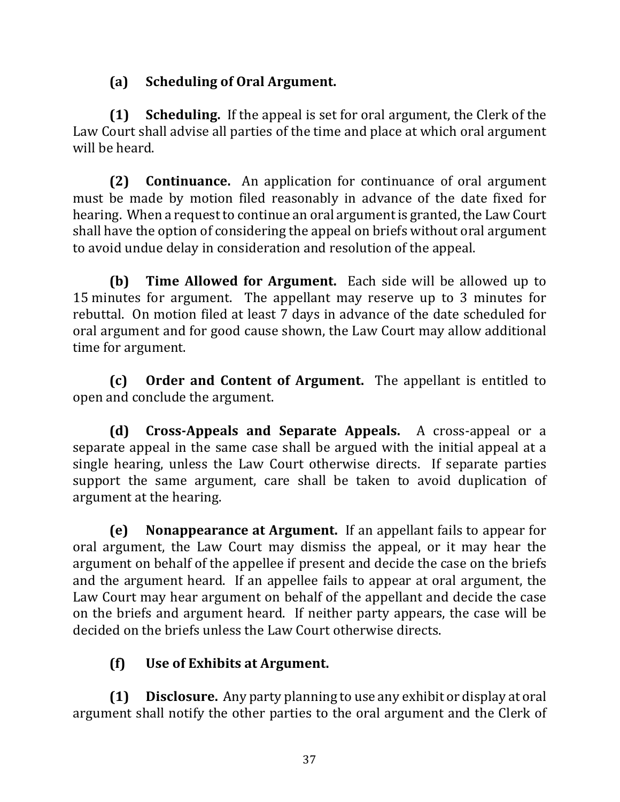## **(a) Scheduling of Oral Argument.**

**(1) Scheduling.** If the appeal is set for oral argument, the Clerk of the Law Court shall advise all parties of the time and place at which oral argument will he heard

**(2) Continuance.** An application for continuance of oral argument must be made by motion filed reasonably in advance of the date fixed for hearing. When a request to continue an oral argument is granted, the Law Court shall have the option of considering the appeal on briefs without oral argument to avoid undue delay in consideration and resolution of the appeal.

**(b) Time Allowed for Argument.** Each side will be allowed up to 15 minutes for argument. The appellant may reserve up to 3 minutes for rebuttal. On motion filed at least 7 days in advance of the date scheduled for oral argument and for good cause shown, the Law Court may allow additional time for argument.

**(c)** Order and Content of Argument. The appellant is entitled to open and conclude the argument.

**(d) Cross-Appeals and Separate Appeals.** A cross-appeal or a separate appeal in the same case shall be argued with the initial appeal at a single hearing, unless the Law Court otherwise directs. If separate parties support the same argument, care shall be taken to avoid duplication of argument at the hearing.

**(e)** Nonappearance at Argument. If an appellant fails to appear for oral argument, the Law Court may dismiss the appeal, or it may hear the argument on behalf of the appellee if present and decide the case on the briefs and the argument heard. If an appellee fails to appear at oral argument, the Law Court may hear argument on behalf of the appellant and decide the case on the briefs and argument heard. If neither party appears, the case will be decided on the briefs unless the Law Court otherwise directs.

# **(f) Use of Exhibits at Argument.**

**(1) Disclosure.** Any party planning to use any exhibit or display at oral argument shall notify the other parties to the oral argument and the Clerk of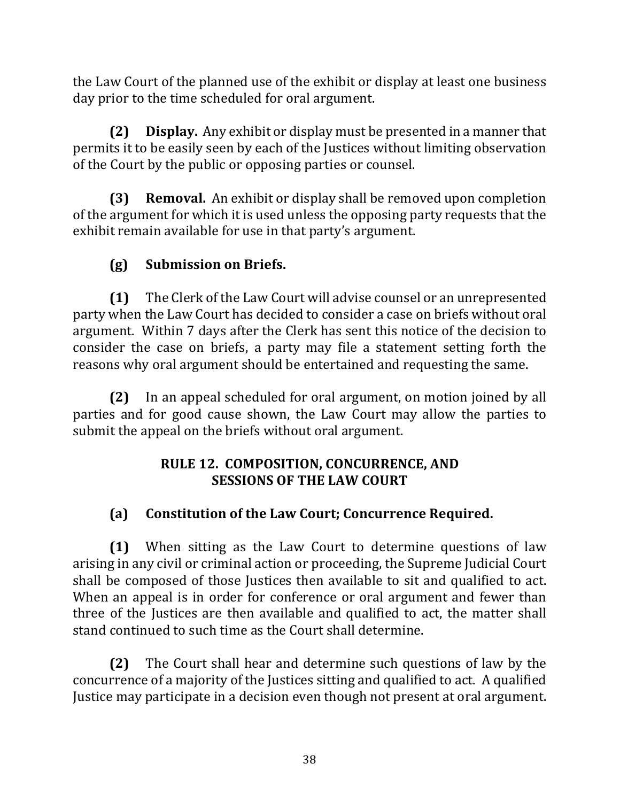the Law Court of the planned use of the exhibit or display at least one business day prior to the time scheduled for oral argument.

**(2) Display.** Any exhibit or display must be presented in a manner that permits it to be easily seen by each of the Justices without limiting observation of the Court by the public or opposing parties or counsel.

**(3) Removal.** An exhibit or display shall be removed upon completion of the argument for which it is used unless the opposing party requests that the exhibit remain available for use in that party's argument.

# **(g) Submission on Briefs.**

**(1)** The Clerk of the Law Court will advise counsel or an unrepresented party when the Law Court has decided to consider a case on briefs without oral argument. Within 7 days after the Clerk has sent this notice of the decision to consider the case on briefs, a party may file a statement setting forth the reasons why oral argument should be entertained and requesting the same.

**(2)** In an appeal scheduled for oral argument, on motion joined by all parties and for good cause shown, the Law Court may allow the parties to submit the appeal on the briefs without oral argument.

# **RULE 12. COMPOSITION, CONCURRENCE, AND SESSIONS OF THE LAW COURT**

# **(a) Constitution of the Law Court; Concurrence Required.**

**(1)** When sitting as the Law Court to determine questions of law arising in any civil or criminal action or proceeding, the Supreme Judicial Court shall be composed of those Justices then available to sit and qualified to act. When an appeal is in order for conference or oral argument and fewer than three of the Justices are then available and qualified to act, the matter shall stand continued to such time as the Court shall determine.

**(2)** The Court shall hear and determine such questions of law by the concurrence of a majority of the Justices sitting and qualified to act. A qualified Justice may participate in a decision even though not present at oral argument.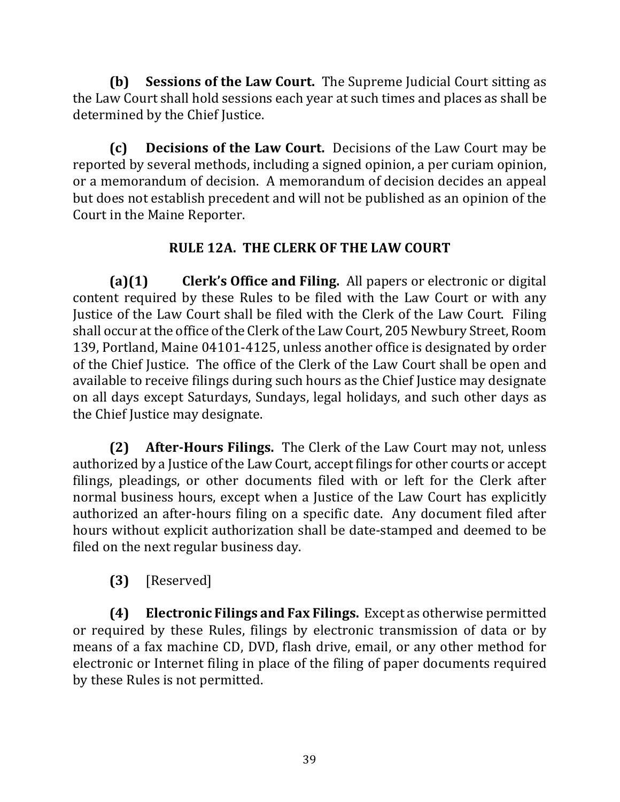**(b)** Sessions of the Law Court. The Supreme Judicial Court sitting as the Law Court shall hold sessions each year at such times and places as shall be determined by the Chief Justice.

**(c) Decisions of the Law Court.** Decisions of the Law Court may be reported by several methods, including a signed opinion, a per curiam opinion, or a memorandum of decision. A memorandum of decision decides an appeal but does not establish precedent and will not be published as an opinion of the Court in the Maine Reporter.

## **RULE 12A. THE CLERK OF THE LAW COURT**

**(a)(1) Clerk's Office and Filing.** All papers or electronic or digital content required by these Rules to be filed with the Law Court or with any Justice of the Law Court shall be filed with the Clerk of the Law Court. Filing shall occur at the office of the Clerk of the Law Court, 205 Newbury Street, Room 139, Portland, Maine 04101-4125, unless another office is designated by order of the Chief Justice. The office of the Clerk of the Law Court shall be open and available to receive filings during such hours as the Chief Justice may designate on all days except Saturdays, Sundays, legal holidays, and such other days as the Chief Justice may designate.

**(2)** After-Hours Filings. The Clerk of the Law Court may not, unless authorized by a Justice of the Law Court, accept filings for other courts or accept filings, pleadings, or other documents filed with or left for the Clerk after normal business hours, except when a Justice of the Law Court has explicitly authorized an after-hours filing on a specific date. Any document filed after hours without explicit authorization shall be date-stamped and deemed to be filed on the next regular business day.

**(3)** [Reserved]

**(4) Electronic Filings and Fax Filings.** Except as otherwise permitted or required by these Rules, filings by electronic transmission of data or by means of a fax machine CD, DVD, flash drive, email, or any other method for electronic or Internet filing in place of the filing of paper documents required by these Rules is not permitted.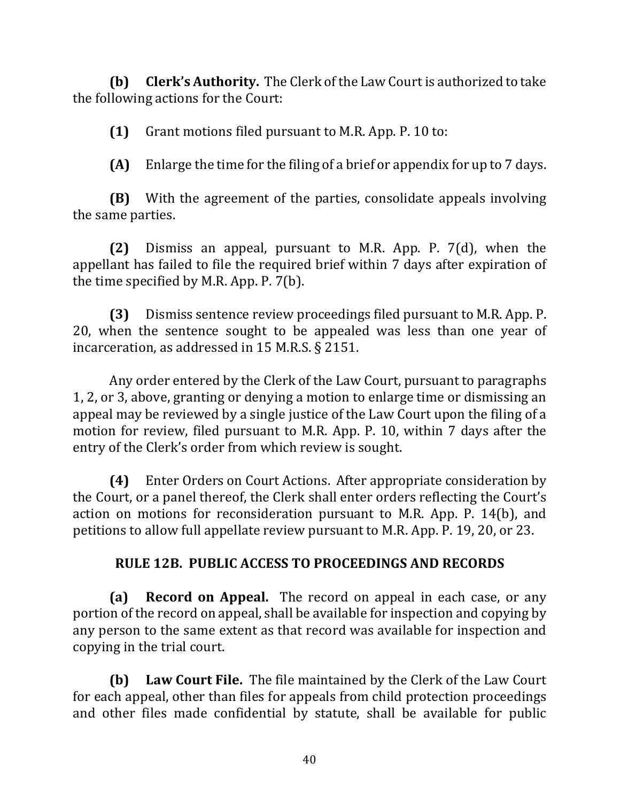**(b)** Clerk's Authority. The Clerk of the Law Court is authorized to take the following actions for the Court:

**(1)** Grant motions filed pursuant to M.R. App. P. 10 to:

**(A)** Enlarge the time for the filing of a brief or appendix for up to 7 days.

**(B)** With the agreement of the parties, consolidate appeals involving the same parties.

**(2)** Dismiss an appeal, pursuant to M.R. App. P. 7(d), when the appellant has failed to file the required brief within 7 days after expiration of the time specified by M.R. App. P.  $7(b)$ .

**(3)** Dismiss sentence review proceedings filed pursuant to M.R. App. P. 20, when the sentence sought to be appealed was less than one year of incarceration, as addressed in  $15$  M.R.S. § 2151.

Any order entered by the Clerk of the Law Court, pursuant to paragraphs 1, 2, or 3, above, granting or denying a motion to enlarge time or dismissing an appeal may be reviewed by a single justice of the Law Court upon the filing of a motion for review, filed pursuant to M.R. App. P. 10, within 7 days after the entry of the Clerk's order from which review is sought.

**(4)** Enter Orders on Court Actions. After appropriate consideration by the Court, or a panel thereof, the Clerk shall enter orders reflecting the Court's action on motions for reconsideration pursuant to M.R. App. P.  $14(b)$ , and petitions to allow full appellate review pursuant to M.R. App. P. 19, 20, or 23.

#### **RULE 12B. PUBLIC ACCESS TO PROCEEDINGS AND RECORDS**

**(a) Record on Appeal.** The record on appeal in each case, or any portion of the record on appeal, shall be available for inspection and copying by any person to the same extent as that record was available for inspection and copying in the trial court.

**(b)** Law Court File. The file maintained by the Clerk of the Law Court for each appeal, other than files for appeals from child protection proceedings and other files made confidential by statute, shall be available for public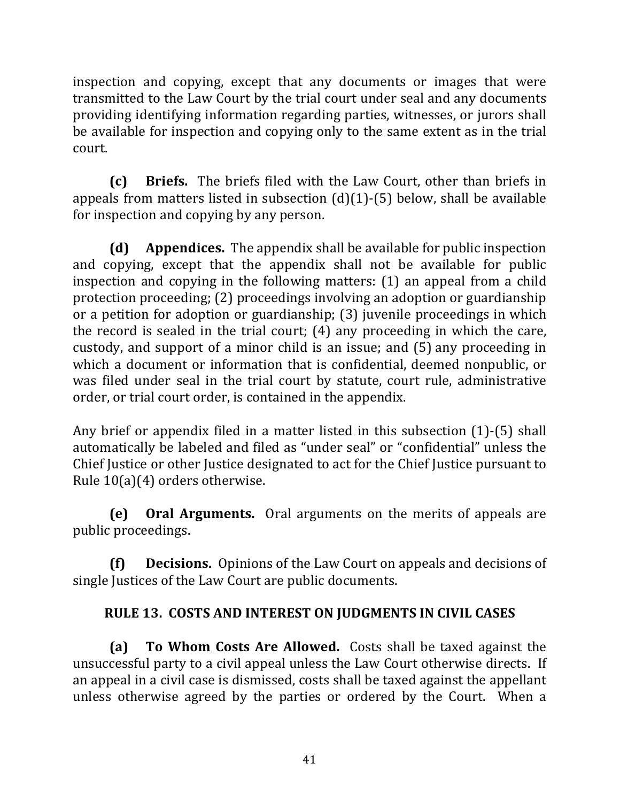inspection and copying, except that any documents or images that were transmitted to the Law Court by the trial court under seal and any documents providing identifying information regarding parties, witnesses, or jurors shall be available for inspection and copying only to the same extent as in the trial court. 

**(c)** Briefs. The briefs filed with the Law Court, other than briefs in appeals from matters listed in subsection  $(d)(1)-(5)$  below, shall be available for inspection and copying by any person.

**(d) Appendices.** The appendix shall be available for public inspection and copying, except that the appendix shall not be available for public inspection and copying in the following matters:  $(1)$  an appeal from a child protection proceeding; (2) proceedings involving an adoption or guardianship or a petition for adoption or guardianship; (3) juvenile proceedings in which the record is sealed in the trial court;  $(4)$  any proceeding in which the care, custody, and support of a minor child is an issue; and (5) any proceeding in which a document or information that is confidential, deemed nonpublic, or was filed under seal in the trial court by statute, court rule, administrative order, or trial court order, is contained in the appendix.

Any brief or appendix filed in a matter listed in this subsection  $(1)-(5)$  shall automatically be labeled and filed as "under seal" or "confidential" unless the Chief Justice or other Justice designated to act for the Chief Justice pursuant to Rule  $10(a)(4)$  orders otherwise.

**(e)** Oral Arguments. Oral arguments on the merits of appeals are public proceedings.

**(f) Decisions.** Opinions of the Law Court on appeals and decisions of single Justices of the Law Court are public documents.

## **RULE 13. COSTS AND INTEREST ON JUDGMENTS IN CIVIL CASES**

**(a) To Whom Costs Are Allowed.** Costs shall be taxed against the unsuccessful party to a civil appeal unless the Law Court otherwise directs. If an appeal in a civil case is dismissed, costs shall be taxed against the appellant unless otherwise agreed by the parties or ordered by the Court. When a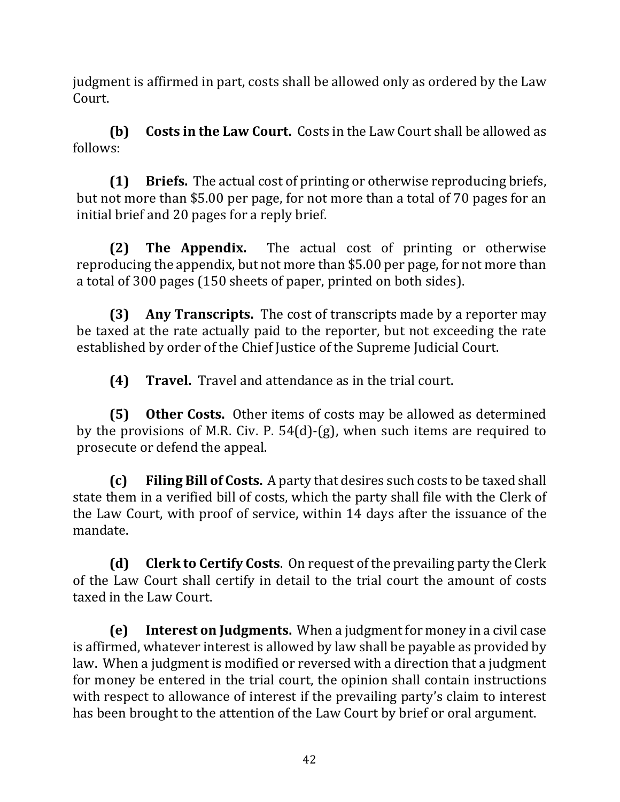judgment is affirmed in part, costs shall be allowed only as ordered by the Law Court. 

**(b)** Costs in the Law Court. Costs in the Law Court shall be allowed as follows:

**(1) Briefs.** The actual cost of printing or otherwise reproducing briefs, but not more than \$5.00 per page, for not more than a total of 70 pages for an initial brief and 20 pages for a reply brief.

**(2) The Appendix.** The actual cost of printing or otherwise reproducing the appendix, but not more than \$5.00 per page, for not more than a total of 300 pages (150 sheets of paper, printed on both sides).

**(3) Any Transcripts.** The cost of transcripts made by a reporter may be taxed at the rate actually paid to the reporter, but not exceeding the rate established by order of the Chief Justice of the Supreme Judicial Court.

**(4) Travel.** Travel and attendance as in the trial court.

**(5) Other Costs.** Other items of costs may be allowed as determined by the provisions of M.R. Civ. P.  $54(d)$ -(g), when such items are required to prosecute or defend the appeal.

**(c)** Filing Bill of Costs. A party that desires such costs to be taxed shall state them in a verified bill of costs, which the party shall file with the Clerk of the Law Court, with proof of service, within 14 days after the issuance of the mandate. 

**(d)** Clerk to Certify Costs. On request of the prevailing party the Clerk of the Law Court shall certify in detail to the trial court the amount of costs taxed in the Law Court.

**(e)** Interest on Judgments. When a judgment for money in a civil case is affirmed, whatever interest is allowed by law shall be payable as provided by law. When a judgment is modified or reversed with a direction that a judgment for money be entered in the trial court, the opinion shall contain instructions with respect to allowance of interest if the prevailing party's claim to interest has been brought to the attention of the Law Court by brief or oral argument.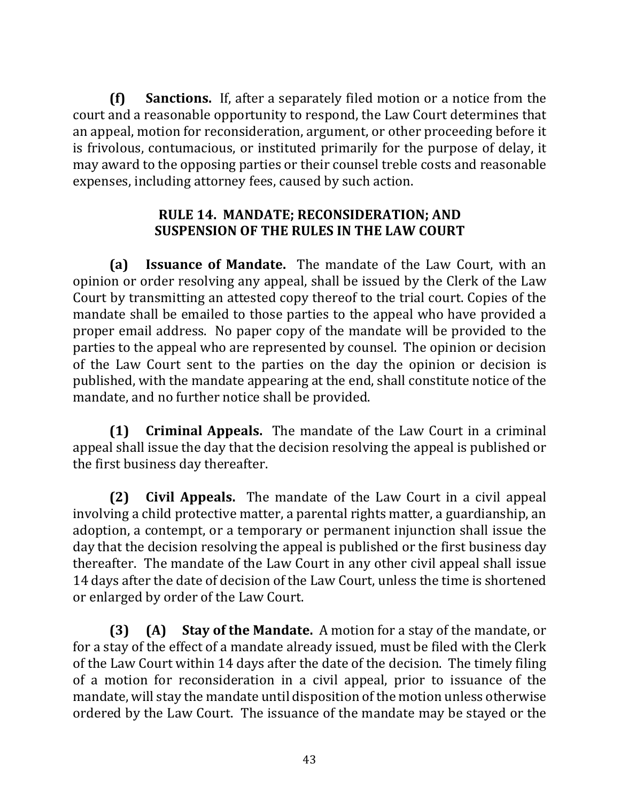**(f)** Sanctions. If, after a separately filed motion or a notice from the court and a reasonable opportunity to respond, the Law Court determines that an appeal, motion for reconsideration, argument, or other proceeding before it is frivolous, contumacious, or instituted primarily for the purpose of delay, it may award to the opposing parties or their counsel treble costs and reasonable expenses, including attorney fees, caused by such action.

#### **RULE 14. MANDATE; RECONSIDERATION; AND SUSPENSION OF THE RULES IN THE LAW COURT**

**(a) Issuance of Mandate.** The mandate of the Law Court, with an opinion or order resolving any appeal, shall be issued by the Clerk of the Law Court by transmitting an attested copy thereof to the trial court. Copies of the mandate shall be emailed to those parties to the appeal who have provided a proper email address. No paper copy of the mandate will be provided to the parties to the appeal who are represented by counsel. The opinion or decision of the Law Court sent to the parties on the day the opinion or decision is published, with the mandate appearing at the end, shall constitute notice of the mandate, and no further notice shall be provided.

**(1) Criminal Appeals.** The mandate of the Law Court in a criminal appeal shall issue the day that the decision resolving the appeal is published or the first business day thereafter.

**(2)** Civil Appeals. The mandate of the Law Court in a civil appeal involving a child protective matter, a parental rights matter, a guardianship, an adoption, a contempt, or a temporary or permanent injunction shall issue the day that the decision resolving the appeal is published or the first business day thereafter. The mandate of the Law Court in any other civil appeal shall issue 14 days after the date of decision of the Law Court, unless the time is shortened or enlarged by order of the Law Court.

**(3) (A) Stay of the Mandate.** A motion for a stay of the mandate, or for a stay of the effect of a mandate already issued, must be filed with the Clerk of the Law Court within 14 days after the date of the decision. The timely filing of a motion for reconsideration in a civil appeal, prior to issuance of the mandate, will stay the mandate until disposition of the motion unless otherwise ordered by the Law Court. The issuance of the mandate may be stayed or the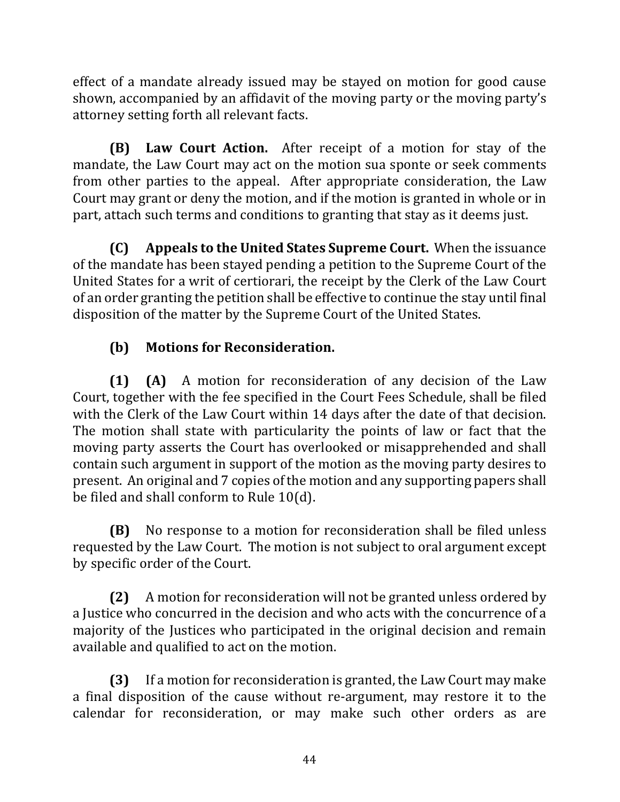effect of a mandate already issued may be stayed on motion for good cause shown, accompanied by an affidavit of the moving party or the moving party's attorney setting forth all relevant facts.

**(B)** Law Court Action. After receipt of a motion for stay of the mandate, the Law Court may act on the motion sua sponte or seek comments from other parties to the appeal. After appropriate consideration, the Law Court may grant or deny the motion, and if the motion is granted in whole or in part, attach such terms and conditions to granting that stay as it deems just.

**(C)** Appeals to the United States Supreme Court. When the issuance of the mandate has been stayed pending a petition to the Supreme Court of the United States for a writ of certiorari, the receipt by the Clerk of the Law Court of an order granting the petition shall be effective to continue the stay until final disposition of the matter by the Supreme Court of the United States.

# **(b)** Motions for Reconsideration.

**(1) (A)** A motion for reconsideration of any decision of the Law Court, together with the fee specified in the Court Fees Schedule, shall be filed with the Clerk of the Law Court within 14 days after the date of that decision. The motion shall state with particularity the points of law or fact that the moving party asserts the Court has overlooked or misapprehended and shall contain such argument in support of the motion as the moving party desires to present. An original and 7 copies of the motion and any supporting papers shall be filed and shall conform to Rule  $10(d)$ .

**(B)** No response to a motion for reconsideration shall be filed unless requested by the Law Court. The motion is not subject to oral argument except by specific order of the Court.

**(2)** A motion for reconsideration will not be granted unless ordered by a Justice who concurred in the decision and who acts with the concurrence of a majority of the Justices who participated in the original decision and remain available and qualified to act on the motion.

**(3)** If a motion for reconsideration is granted, the Law Court may make a final disposition of the cause without re-argument, may restore it to the calendar for reconsideration, or may make such other orders as are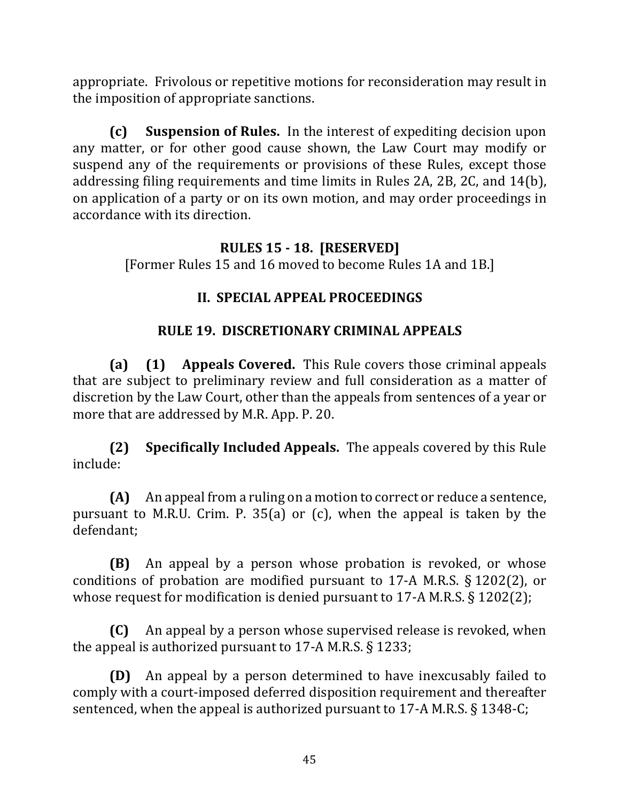appropriate. Frivolous or repetitive motions for reconsideration may result in the imposition of appropriate sanctions.

**(c)** Suspension of Rules. In the interest of expediting decision upon any matter, or for other good cause shown, the Law Court may modify or suspend any of the requirements or provisions of these Rules, except those addressing filing requirements and time limits in Rules 2A, 2B, 2C, and 14(b), on application of a party or on its own motion, and may order proceedings in accordance with its direction.

#### **RULES 15 - 18. [RESERVED]**

[Former Rules 15 and 16 moved to become Rules 1A and 1B.]

### **II. SPECIAL APPEAL PROCEEDINGS**

### **RULE 19. DISCRETIONARY CRIMINAL APPEALS**

**(a) (1) Appeals Covered.** This Rule covers those criminal appeals that are subject to preliminary review and full consideration as a matter of discretion by the Law Court, other than the appeals from sentences of a year or more that are addressed by M.R. App. P. 20.

**(2) Specifically Included Appeals.** The appeals covered by this Rule include:

**(A)** An appeal from a ruling on a motion to correct or reduce a sentence, pursuant to M.R.U. Crim. P. 35(a) or  $(c)$ , when the appeal is taken by the defendant;

**(B)** An appeal by a person whose probation is revoked, or whose conditions of probation are modified pursuant to 17-A M.R.S.  $\S 1202(2)$ , or whose request for modification is denied pursuant to 17-A M.R.S.  $\S$  1202(2);

**(C)** An appeal by a person whose supervised release is revoked, when the appeal is authorized pursuant to 17-A M.R.S.  $\S$  1233;

**(D)** An appeal by a person determined to have inexcusably failed to comply with a court-imposed deferred disposition requirement and thereafter sentenced, when the appeal is authorized pursuant to  $17-A$  M.R.S. § 1348-C;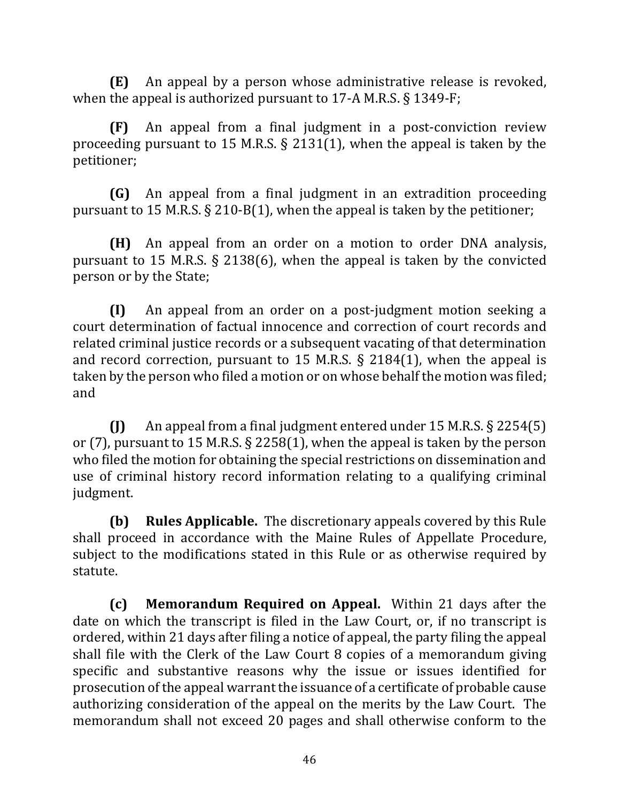**(E)** An appeal by a person whose administrative release is revoked, when the appeal is authorized pursuant to 17-A M.R.S.  $\S$  1349-F;

**(F)** An appeal from a final judgment in a post-conviction review proceeding pursuant to 15 M.R.S.  $\S$  2131(1), when the appeal is taken by the petitioner; 

**(G)** An appeal from a final judgment in an extradition proceeding pursuant to 15 M.R.S.  $\S$  210-B(1), when the appeal is taken by the petitioner;

**(H)** An appeal from an order on a motion to order DNA analysis, pursuant to 15 M.R.S.  $\S$  2138(6), when the appeal is taken by the convicted person or by the State;

**(I)** An appeal from an order on a post-judgment motion seeking a court determination of factual innocence and correction of court records and related criminal justice records or a subsequent vacating of that determination and record correction, pursuant to 15 M.R.S.  $\S$  2184(1), when the appeal is taken by the person who filed a motion or on whose behalf the motion was filed; and

 $\textbf{(I)}$  An appeal from a final judgment entered under 15 M.R.S. § 2254(5) or (7), pursuant to 15 M.R.S.  $\S$  2258(1), when the appeal is taken by the person who filed the motion for obtaining the special restrictions on dissemination and use of criminal history record information relating to a qualifying criminal judgment.

**(b) Rules Applicable.** The discretionary appeals covered by this Rule shall proceed in accordance with the Maine Rules of Appellate Procedure, subject to the modifications stated in this Rule or as otherwise required by statute. 

**(c)** Memorandum Required on Appeal. Within 21 days after the date on which the transcript is filed in the Law Court, or, if no transcript is ordered, within 21 days after filing a notice of appeal, the party filing the appeal shall file with the Clerk of the Law Court 8 copies of a memorandum giving specific and substantive reasons why the issue or issues identified for prosecution of the appeal warrant the issuance of a certificate of probable cause authorizing consideration of the appeal on the merits by the Law Court. The memorandum shall not exceed 20 pages and shall otherwise conform to the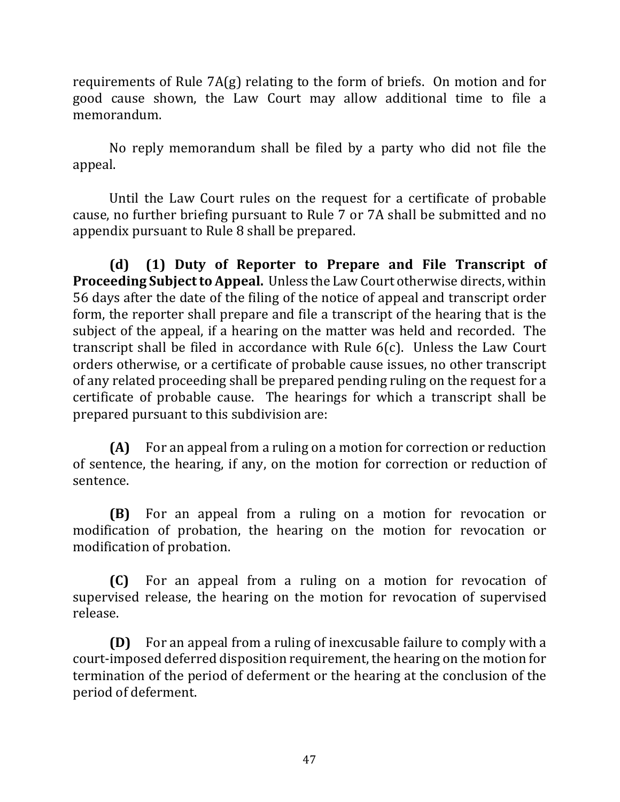requirements of Rule  $7A(g)$  relating to the form of briefs. On motion and for good cause shown, the Law Court may allow additional time to file a memorandum. 

No reply memorandum shall be filed by a party who did not file the appeal. 

Until the Law Court rules on the request for a certificate of probable cause, no further briefing pursuant to Rule 7 or 7A shall be submitted and no appendix pursuant to Rule 8 shall be prepared.

**(d) (1) Duty of Reporter to Prepare and File Transcript of Proceeding Subject to Appeal.** Unless the Law Court otherwise directs, within 56 days after the date of the filing of the notice of appeal and transcript order form, the reporter shall prepare and file a transcript of the hearing that is the subject of the appeal, if a hearing on the matter was held and recorded. The transcript shall be filed in accordance with Rule  $6(c)$ . Unless the Law Court orders otherwise, or a certificate of probable cause issues, no other transcript of any related proceeding shall be prepared pending ruling on the request for a certificate of probable cause. The hearings for which a transcript shall be prepared pursuant to this subdivision are:

**(A)** For an appeal from a ruling on a motion for correction or reduction of sentence, the hearing, if any, on the motion for correction or reduction of sentence. 

**(B)** For an appeal from a ruling on a motion for revocation or modification of probation, the hearing on the motion for revocation or modification of probation.

**(C)** For an appeal from a ruling on a motion for revocation of supervised release, the hearing on the motion for revocation of supervised release.

**(D)** For an appeal from a ruling of inexcusable failure to comply with a court-imposed deferred disposition requirement, the hearing on the motion for termination of the period of deferment or the hearing at the conclusion of the period of deferment.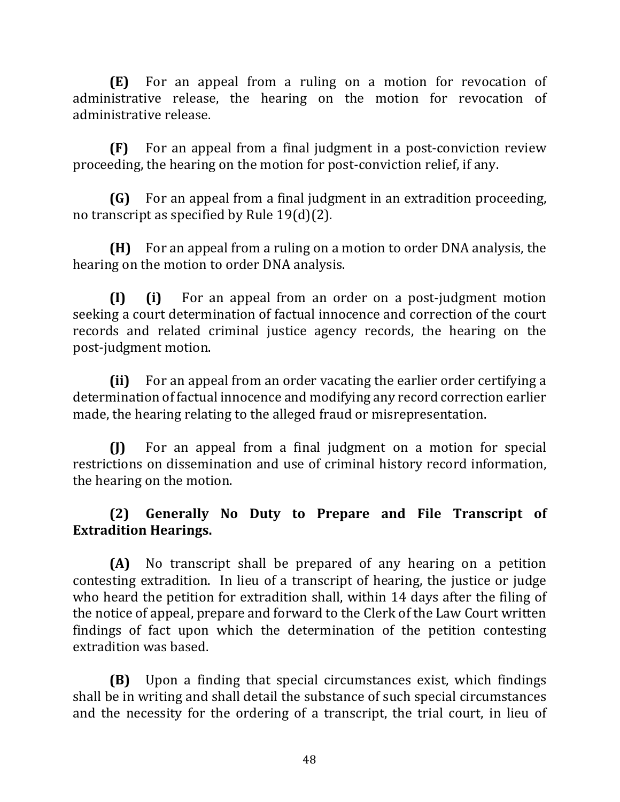**(E)** For an appeal from a ruling on a motion for revocation of administrative release, the hearing on the motion for revocation of administrative release.

**(F)** For an appeal from a final judgment in a post-conviction review proceeding, the hearing on the motion for post-conviction relief, if any.

**(G)** For an appeal from a final judgment in an extradition proceeding, no transcript as specified by Rule  $19(d)(2)$ .

**(H)** For an appeal from a ruling on a motion to order DNA analysis, the hearing on the motion to order DNA analysis.

**(I) (i)** For an appeal from an order on a post-judgment motion seeking a court determination of factual innocence and correction of the court records and related criminal justice agency records, the hearing on the post-judgment motion.

**(ii)** For an appeal from an order vacating the earlier order certifying a determination of factual innocence and modifying any record correction earlier made, the hearing relating to the alleged fraud or misrepresentation.

**(I)** For an appeal from a final judgment on a motion for special restrictions on dissemination and use of criminal history record information, the hearing on the motion.

## **(2) Generally No Duty to Prepare and File Transcript of Extradition Hearings.**

**(A)** No transcript shall be prepared of any hearing on a petition contesting extradition. In lieu of a transcript of hearing, the justice or judge who heard the petition for extradition shall, within 14 days after the filing of the notice of appeal, prepare and forward to the Clerk of the Law Court written findings of fact upon which the determination of the petition contesting extradition was based.

**(B)** Upon a finding that special circumstances exist, which findings shall be in writing and shall detail the substance of such special circumstances and the necessity for the ordering of a transcript, the trial court, in lieu of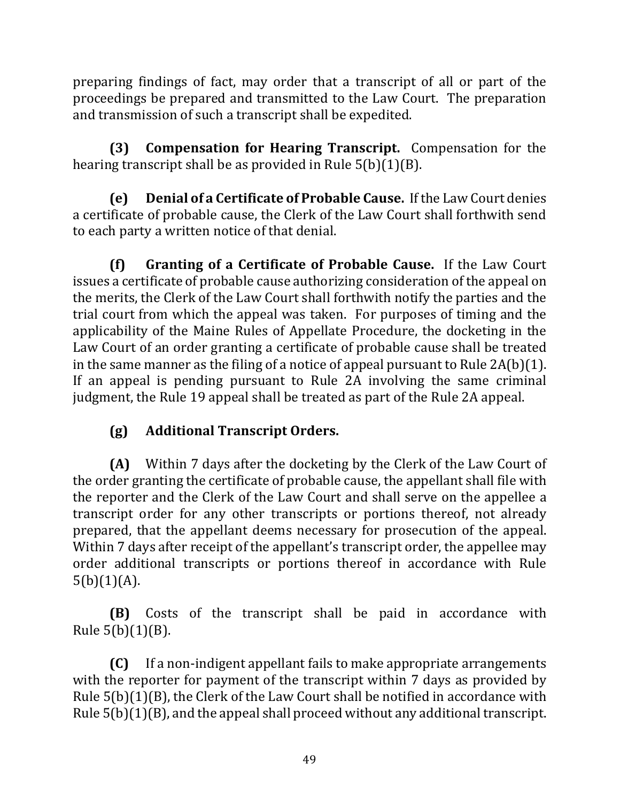preparing findings of fact, may order that a transcript of all or part of the proceedings be prepared and transmitted to the Law Court. The preparation and transmission of such a transcript shall be expedited.

**(3) Compensation for Hearing Transcript.** Compensation for the hearing transcript shall be as provided in Rule  $5(b)(1)(B)$ .

**(e)** Denial of a Certificate of Probable Cause. If the Law Court denies a certificate of probable cause, the Clerk of the Law Court shall forthwith send to each party a written notice of that denial.

**(f)** Granting of a Certificate of Probable Cause. If the Law Court issues a certificate of probable cause authorizing consideration of the appeal on the merits, the Clerk of the Law Court shall forthwith notify the parties and the trial court from which the appeal was taken. For purposes of timing and the applicability of the Maine Rules of Appellate Procedure, the docketing in the Law Court of an order granting a certificate of probable cause shall be treated in the same manner as the filing of a notice of appeal pursuant to Rule  $2A(b)(1)$ . If an appeal is pending pursuant to Rule  $2A$  involving the same criminal judgment, the Rule 19 appeal shall be treated as part of the Rule 2A appeal.

# **(g) Additional Transcript Orders.**

**(A)** Within 7 days after the docketing by the Clerk of the Law Court of the order granting the certificate of probable cause, the appellant shall file with the reporter and the Clerk of the Law Court and shall serve on the appellee a transcript order for any other transcripts or portions thereof, not already prepared, that the appellant deems necessary for prosecution of the appeal. Within 7 days after receipt of the appellant's transcript order, the appellee may order additional transcripts or portions thereof in accordance with Rule  $5(b)(1)(A)$ .

**(B)** Costs of the transcript shall be paid in accordance with Rule 5(b)(1)(B). 

**(C)** If a non-indigent appellant fails to make appropriate arrangements with the reporter for payment of the transcript within 7 days as provided by Rule  $5(b)(1)(B)$ , the Clerk of the Law Court shall be notified in accordance with Rule  $5(b)(1)(B)$ , and the appeal shall proceed without any additional transcript.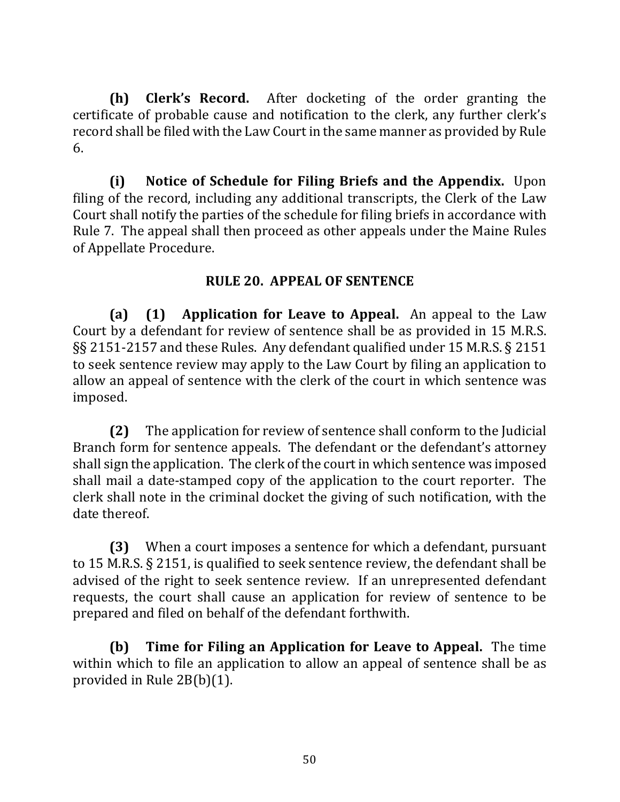**(h) Clerk's Record.** After docketing of the order granting the certificate of probable cause and notification to the clerk, any further clerk's record shall be filed with the Law Court in the same manner as provided by Rule 6.

**(i)** Notice of Schedule for Filing Briefs and the Appendix. Upon filing of the record, including any additional transcripts, the Clerk of the Law Court shall notify the parties of the schedule for filing briefs in accordance with Rule 7. The appeal shall then proceed as other appeals under the Maine Rules of Appellate Procedure.

#### **RULE 20. APPEAL OF SENTENCE**

**(a)** (1) Application for Leave to Appeal. An appeal to the Law Court by a defendant for review of sentence shall be as provided in 15 M.R.S. §§ 2151-2157 and these Rules. Any defendant qualified under 15 M.R.S. § 2151 to seek sentence review may apply to the Law Court by filing an application to allow an appeal of sentence with the clerk of the court in which sentence was imposed. 

**(2)** The application for review of sentence shall conform to the Judicial Branch form for sentence appeals. The defendant or the defendant's attorney shall sign the application. The clerk of the court in which sentence was imposed shall mail a date-stamped copy of the application to the court reporter. The clerk shall note in the criminal docket the giving of such notification, with the date thereof.

**(3)** When a court imposes a sentence for which a defendant, pursuant to 15 M.R.S. § 2151, is qualified to seek sentence review, the defendant shall be advised of the right to seek sentence review. If an unrepresented defendant requests, the court shall cause an application for review of sentence to be prepared and filed on behalf of the defendant forthwith.

**(b)** Time for Filing an Application for Leave to Appeal. The time within which to file an application to allow an appeal of sentence shall be as provided in Rule  $2B(b)(1)$ .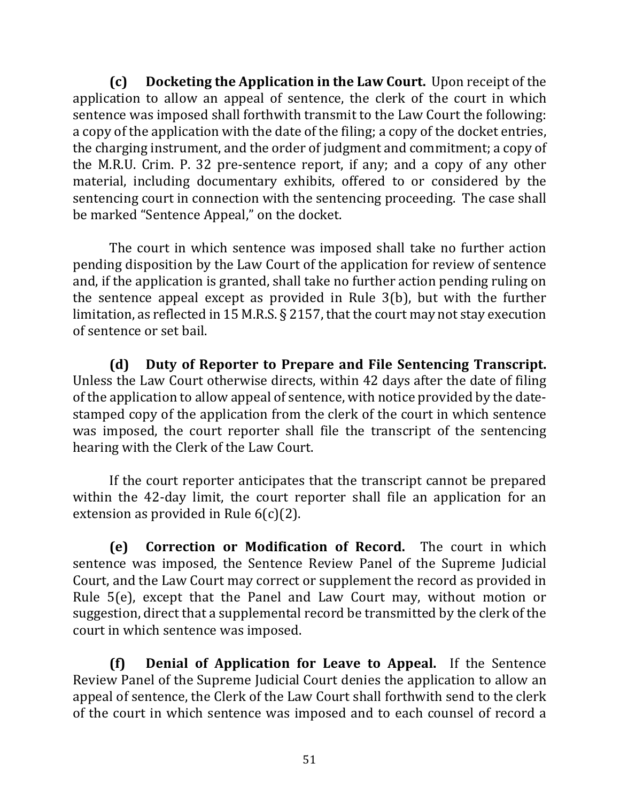**(c)** Docketing the Application in the Law Court. Upon receipt of the application to allow an appeal of sentence, the clerk of the court in which sentence was imposed shall forthwith transmit to the Law Court the following: a copy of the application with the date of the filing; a copy of the docket entries, the charging instrument, and the order of judgment and commitment; a copy of the M.R.U. Crim. P. 32 pre-sentence report, if any; and a copy of any other material, including documentary exhibits, offered to or considered by the sentencing court in connection with the sentencing proceeding. The case shall be marked "Sentence Appeal," on the docket.

The court in which sentence was imposed shall take no further action pending disposition by the Law Court of the application for review of sentence and, if the application is granted, shall take no further action pending ruling on the sentence appeal except as provided in Rule  $3(b)$ , but with the further limitation, as reflected in 15 M.R.S. § 2157, that the court may not stay execution of sentence or set bail.

**(d) Duty of Reporter to Prepare and File Sentencing Transcript.** Unless the Law Court otherwise directs, within 42 days after the date of filing of the application to allow appeal of sentence, with notice provided by the datestamped copy of the application from the clerk of the court in which sentence was imposed, the court reporter shall file the transcript of the sentencing hearing with the Clerk of the Law Court.

If the court reporter anticipates that the transcript cannot be prepared within the 42-day limit, the court reporter shall file an application for an extension as provided in Rule  $6(c)(2)$ .

**(e) Correction or Modification of Record.** The court in which sentence was imposed, the Sentence Review Panel of the Supreme Judicial Court, and the Law Court may correct or supplement the record as provided in Rule  $5(e)$ , except that the Panel and Law Court may, without motion or suggestion, direct that a supplemental record be transmitted by the clerk of the court in which sentence was imposed.

**(f) Denial of Application for Leave to Appeal.** If the Sentence Review Panel of the Supreme Judicial Court denies the application to allow an appeal of sentence, the Clerk of the Law Court shall forthwith send to the clerk of the court in which sentence was imposed and to each counsel of record a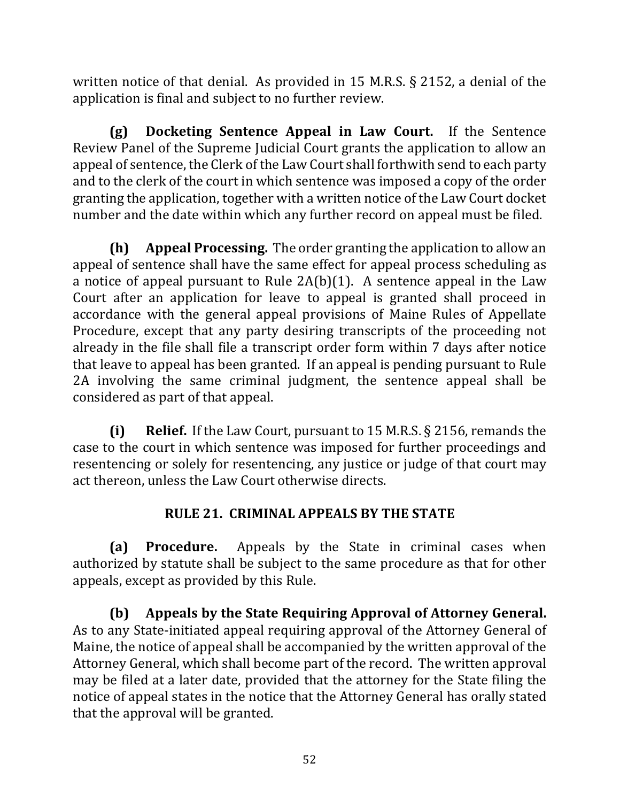written notice of that denial. As provided in 15 M.R.S.  $\S$  2152, a denial of the application is final and subject to no further review.

**(g) Docketing Sentence Appeal in Law Court.** If the Sentence Review Panel of the Supreme Judicial Court grants the application to allow an appeal of sentence, the Clerk of the Law Court shall forthwith send to each party and to the clerk of the court in which sentence was imposed a copy of the order granting the application, together with a written notice of the Law Court docket number and the date within which any further record on appeal must be filed.

**(h) Appeal Processing.** The order granting the application to allow an appeal of sentence shall have the same effect for appeal process scheduling as a notice of appeal pursuant to Rule  $2A(b)(1)$ . A sentence appeal in the Law Court after an application for leave to appeal is granted shall proceed in accordance with the general appeal provisions of Maine Rules of Appellate Procedure, except that any party desiring transcripts of the proceeding not already in the file shall file a transcript order form within 7 days after notice that leave to appeal has been granted. If an appeal is pending pursuant to Rule 2A involving the same criminal judgment, the sentence appeal shall be considered as part of that appeal.

**(i) Relief.** If the Law Court, pursuant to 15 M.R.S. § 2156, remands the case to the court in which sentence was imposed for further proceedings and resentencing or solely for resentencing, any justice or judge of that court may act thereon, unless the Law Court otherwise directs.

## **RULE 21. CRIMINAL APPEALS BY THE STATE**

**(a) Procedure.** Appeals by the State in criminal cases when authorized by statute shall be subject to the same procedure as that for other appeals, except as provided by this Rule.

**(b)** Appeals by the State Requiring Approval of Attorney General. As to any State-initiated appeal requiring approval of the Attorney General of Maine, the notice of appeal shall be accompanied by the written approval of the Attorney General, which shall become part of the record. The written approval may be filed at a later date, provided that the attorney for the State filing the notice of appeal states in the notice that the Attorney General has orally stated that the approval will be granted.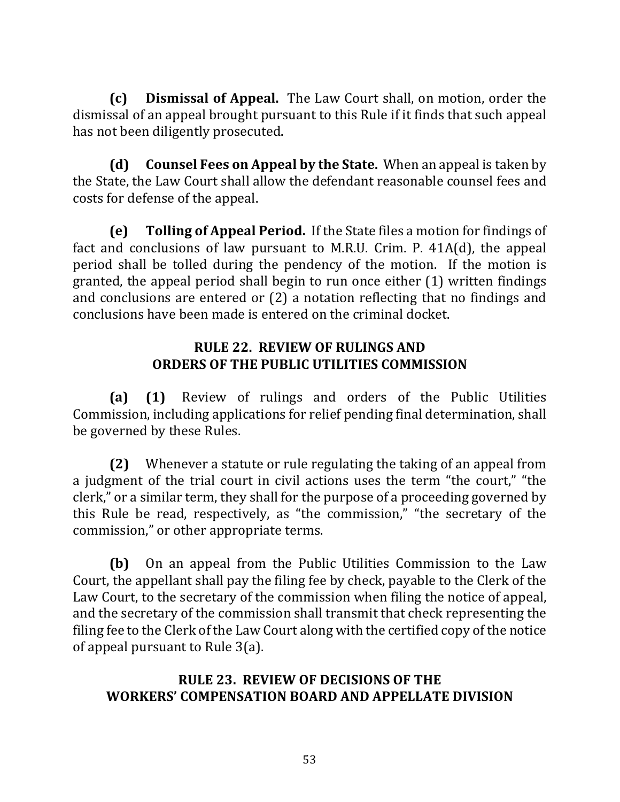**(c) Dismissal of Appeal.** The Law Court shall, on motion, order the dismissal of an appeal brought pursuant to this Rule if it finds that such appeal has not been diligently prosecuted.

**(d)** Counsel Fees on Appeal by the State. When an appeal is taken by the State, the Law Court shall allow the defendant reasonable counsel fees and costs for defense of the appeal.

**(e) Tolling of Appeal Period.** If the State files a motion for findings of fact and conclusions of law pursuant to M.R.U. Crim. P.  $41A(d)$ , the appeal period shall be tolled during the pendency of the motion. If the motion is granted, the appeal period shall begin to run once either  $(1)$  written findings and conclusions are entered or  $(2)$  a notation reflecting that no findings and conclusions have been made is entered on the criminal docket.

#### **RULE 22. REVIEW OF RULINGS AND ORDERS OF THE PUBLIC UTILITIES COMMISSION**

**(a) (1)** Review of rulings and orders of the Public Utilities Commission, including applications for relief pending final determination, shall be governed by these Rules.

**(2)** Whenever a statute or rule regulating the taking of an appeal from a judgment of the trial court in civil actions uses the term "the court," "the clerk," or a similar term, they shall for the purpose of a proceeding governed by this Rule be read, respectively, as "the commission," "the secretary of the commission," or other appropriate terms.

**(b)** On an appeal from the Public Utilities Commission to the Law Court, the appellant shall pay the filing fee by check, payable to the Clerk of the Law Court, to the secretary of the commission when filing the notice of appeal, and the secretary of the commission shall transmit that check representing the filing fee to the Clerk of the Law Court along with the certified copy of the notice of appeal pursuant to Rule  $3(a)$ .

### **RULE 23. REVIEW OF DECISIONS OF THE WORKERS' COMPENSATION BOARD AND APPELLATE DIVISION**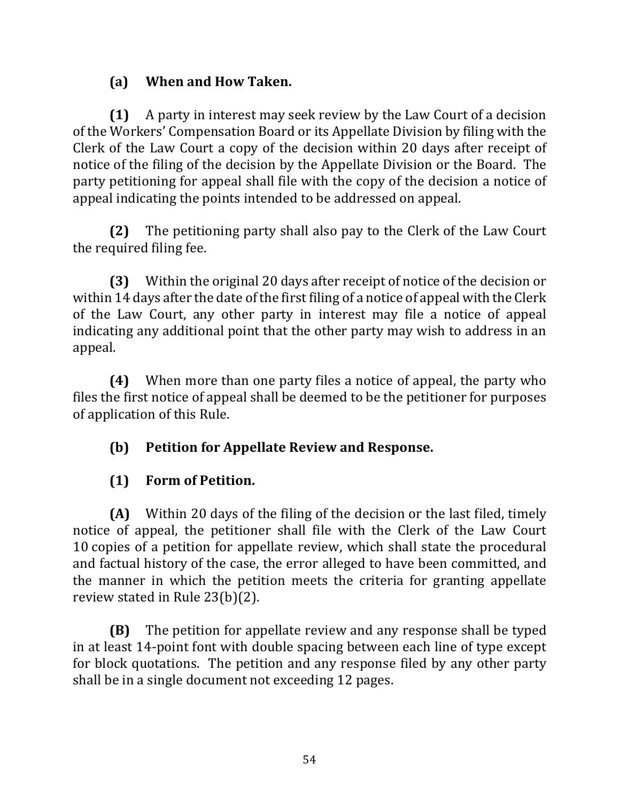## **(a) When and How Taken.**

**(1)** A party in interest may seek review by the Law Court of a decision of the Workers' Compensation Board or its Appellate Division by filing with the Clerk of the Law Court a copy of the decision within 20 days after receipt of notice of the filing of the decision by the Appellate Division or the Board. The party petitioning for appeal shall file with the copy of the decision a notice of appeal indicating the points intended to be addressed on appeal.

**(2)** The petitioning party shall also pay to the Clerk of the Law Court the required filing fee.

**(3)** Within the original 20 days after receipt of notice of the decision or within 14 days after the date of the first filing of a notice of appeal with the Clerk of the Law Court, any other party in interest may file a notice of appeal indicating any additional point that the other party may wish to address in an appeal.

**(4)** When more than one party files a notice of appeal, the party who files the first notice of appeal shall be deemed to be the petitioner for purposes of application of this Rule.

# **(b)** Petition for Appellate Review and Response.

# **(1) Form of Petition.**

**(A)** Within 20 days of the filing of the decision or the last filed, timely notice of appeal, the petitioner shall file with the Clerk of the Law Court 10 copies of a petition for appellate review, which shall state the procedural and factual history of the case, the error alleged to have been committed, and the manner in which the petition meets the criteria for granting appellate review stated in Rule  $23(b)(2)$ .

**(B)** The petition for appellate review and any response shall be typed in at least 14-point font with double spacing between each line of type except for block quotations. The petition and any response filed by any other party shall be in a single document not exceeding 12 pages.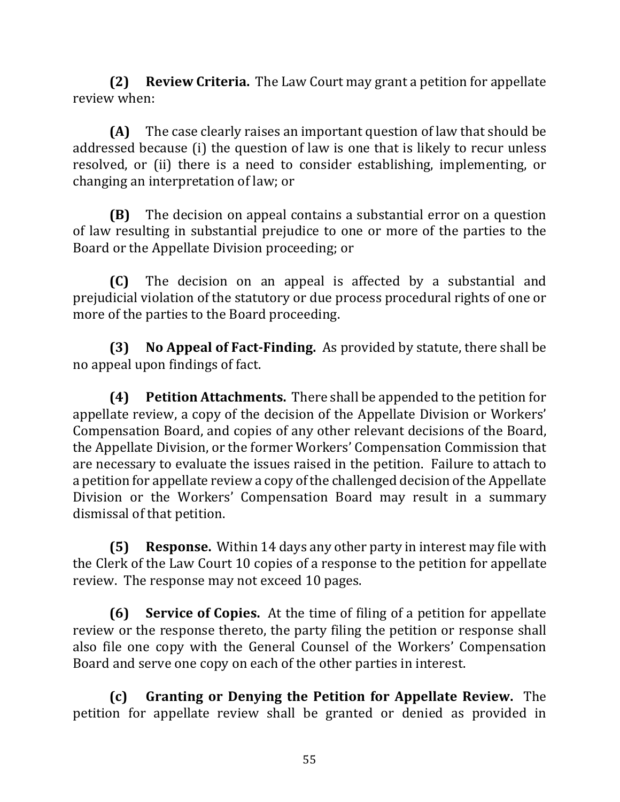**(2) Review Criteria.** The Law Court may grant a petition for appellate review when:

**(A)** The case clearly raises an important question of law that should be addressed because (i) the question of law is one that is likely to recur unless resolved, or (ii) there is a need to consider establishing, implementing, or changing an interpretation of law; or

**(B)** The decision on appeal contains a substantial error on a question of law resulting in substantial prejudice to one or more of the parties to the Board or the Appellate Division proceeding; or

**(C)** The decision on an appeal is affected by a substantial and prejudicial violation of the statutory or due process procedural rights of one or more of the parties to the Board proceeding.

**(3)** No Appeal of Fact-Finding. As provided by statute, there shall be no appeal upon findings of fact.

**(4) Petition Attachments.** There shall be appended to the petition for appellate review, a copy of the decision of the Appellate Division or Workers' Compensation Board, and copies of any other relevant decisions of the Board, the Appellate Division, or the former Workers' Compensation Commission that are necessary to evaluate the issues raised in the petition. Failure to attach to a petition for appellate review a copy of the challenged decision of the Appellate Division or the Workers' Compensation Board may result in a summary dismissal of that petition.

**(5) Response.** Within 14 days any other party in interest may file with the Clerk of the Law Court 10 copies of a response to the petition for appellate review. The response may not exceed 10 pages.

**(6) Service of Copies.** At the time of filing of a petition for appellate review or the response thereto, the party filing the petition or response shall also file one copy with the General Counsel of the Workers' Compensation Board and serve one copy on each of the other parties in interest.

**(c)** Granting or Denying the Petition for Appellate Review. The petition for appellate review shall be granted or denied as provided in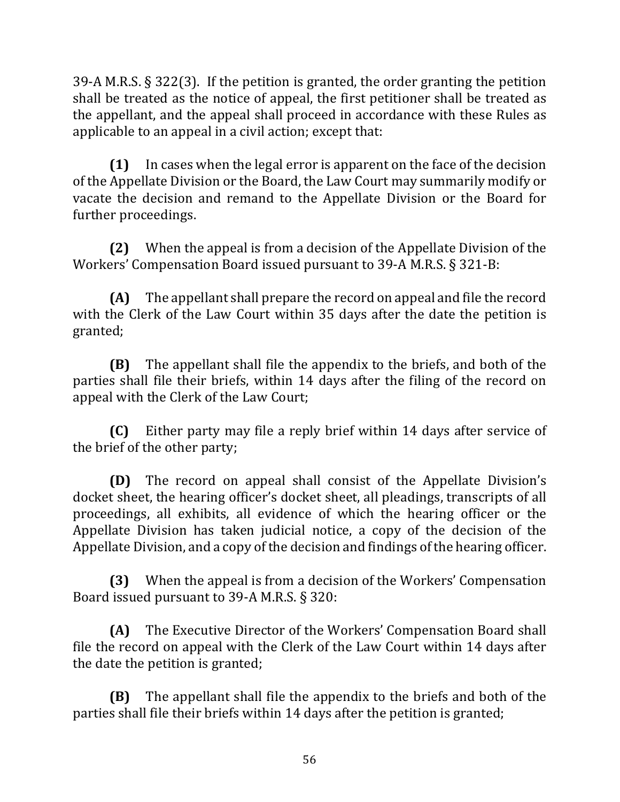39-A M.R.S.  $\S 322(3)$ . If the petition is granted, the order granting the petition shall be treated as the notice of appeal, the first petitioner shall be treated as the appellant, and the appeal shall proceed in accordance with these Rules as applicable to an appeal in a civil action; except that:

**(1)** In cases when the legal error is apparent on the face of the decision of the Appellate Division or the Board, the Law Court may summarily modify or vacate the decision and remand to the Appellate Division or the Board for further proceedings.

**(2)** When the appeal is from a decision of the Appellate Division of the Workers' Compensation Board issued pursuant to 39-A M.R.S.  $\S$  321-B:

**(A)** The appellant shall prepare the record on appeal and file the record with the Clerk of the Law Court within 35 days after the date the petition is granted;

**(B)** The appellant shall file the appendix to the briefs, and both of the parties shall file their briefs, within 14 days after the filing of the record on appeal with the Clerk of the Law Court;

**(C)** Either party may file a reply brief within 14 days after service of the brief of the other party;

**(D)** The record on appeal shall consist of the Appellate Division's docket sheet, the hearing officer's docket sheet, all pleadings, transcripts of all proceedings, all exhibits, all evidence of which the hearing officer or the Appellate Division has taken judicial notice, a copy of the decision of the Appellate Division, and a copy of the decision and findings of the hearing officer.

**(3)** When the appeal is from a decision of the Workers' Compensation Board issued pursuant to 39-A M.R.S. § 320:

**(A)** The Executive Director of the Workers' Compensation Board shall file the record on appeal with the Clerk of the Law Court within 14 days after the date the petition is granted;

**(B)** The appellant shall file the appendix to the briefs and both of the parties shall file their briefs within 14 days after the petition is granted;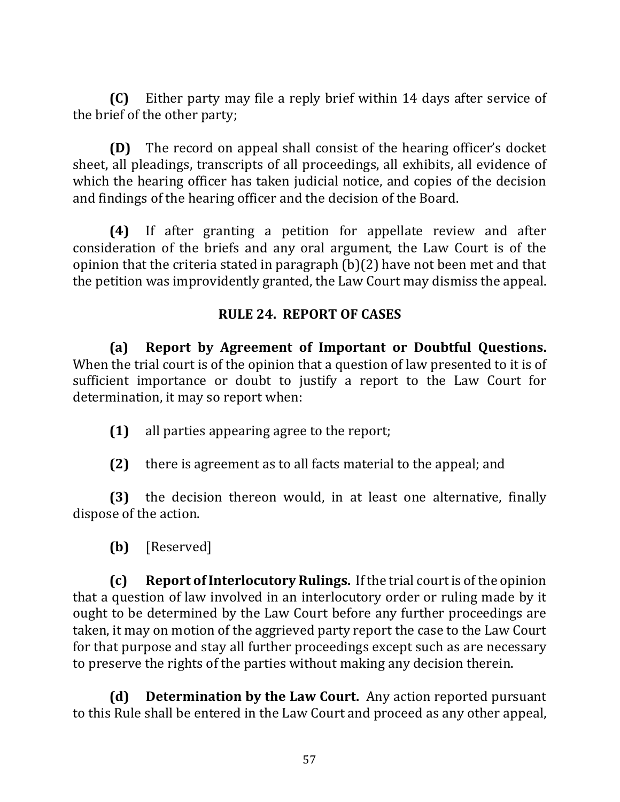**(C)** Either party may file a reply brief within 14 days after service of the brief of the other party;

**(D)** The record on appeal shall consist of the hearing officer's docket sheet, all pleadings, transcripts of all proceedings, all exhibits, all evidence of which the hearing officer has taken judicial notice, and copies of the decision and findings of the hearing officer and the decision of the Board.

**(4)** If after granting a petition for appellate review and after consideration of the briefs and any oral argument, the Law Court is of the opinion that the criteria stated in paragraph  $(b)(2)$  have not been met and that the petition was improvidently granted, the Law Court may dismiss the appeal.

#### **RULE 24. REPORT OF CASES**

**(a) Report by Agreement of Important or Doubtful Questions.** When the trial court is of the opinion that a question of law presented to it is of sufficient importance or doubt to justify a report to the Law Court for determination, it may so report when:

- **(1)** all parties appearing agree to the report;
- **(2)** there is agreement as to all facts material to the appeal; and

**(3)** the decision thereon would, in at least one alternative, finally dispose of the action.

**(b)** [Reserved]

**(c) Report of Interlocutory Rulings.** If the trial court is of the opinion that a question of law involved in an interlocutory order or ruling made by it ought to be determined by the Law Court before any further proceedings are taken, it may on motion of the aggrieved party report the case to the Law Court for that purpose and stay all further proceedings except such as are necessary to preserve the rights of the parties without making any decision therein.

**(d) Determination by the Law Court.** Any action reported pursuant to this Rule shall be entered in the Law Court and proceed as any other appeal,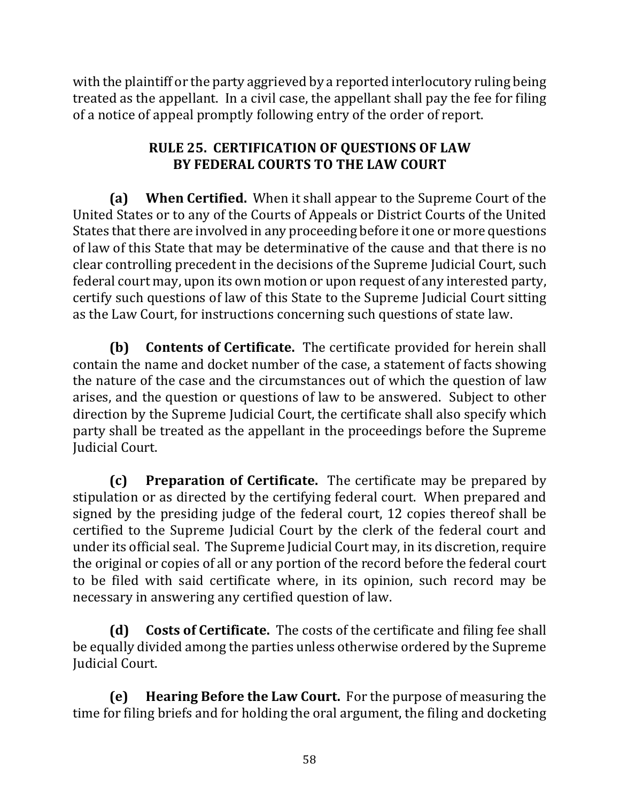with the plaintiff or the party aggrieved by a reported interlocutory ruling being treated as the appellant. In a civil case, the appellant shall pay the fee for filing of a notice of appeal promptly following entry of the order of report.

## **RULE 25. CERTIFICATION OF QUESTIONS OF LAW BY FEDERAL COURTS TO THE LAW COURT**

**(a)** When Certified. When it shall appear to the Supreme Court of the United States or to any of the Courts of Appeals or District Courts of the United States that there are involved in any proceeding before it one or more questions of law of this State that may be determinative of the cause and that there is no clear controlling precedent in the decisions of the Supreme Judicial Court, such federal court may, upon its own motion or upon request of any interested party, certify such questions of law of this State to the Supreme Judicial Court sitting as the Law Court, for instructions concerning such questions of state law.

**(b)** Contents of Certificate. The certificate provided for herein shall contain the name and docket number of the case, a statement of facts showing the nature of the case and the circumstances out of which the question of law arises, and the question or questions of law to be answered. Subject to other direction by the Supreme Judicial Court, the certificate shall also specify which party shall be treated as the appellant in the proceedings before the Supreme **Iudicial Court.** 

**(c)** Preparation of Certificate. The certificate may be prepared by stipulation or as directed by the certifying federal court. When prepared and signed by the presiding judge of the federal court, 12 copies thereof shall be certified to the Supreme Judicial Court by the clerk of the federal court and under its official seal. The Supreme Judicial Court may, in its discretion, require the original or copies of all or any portion of the record before the federal court to be filed with said certificate where, in its opinion, such record may be necessary in answering any certified question of law.

**(d)** Costs of Certificate. The costs of the certificate and filing fee shall be equally divided among the parties unless otherwise ordered by the Supreme Judicial Court.

**(e)** Hearing Before the Law Court. For the purpose of measuring the time for filing briefs and for holding the oral argument, the filing and docketing